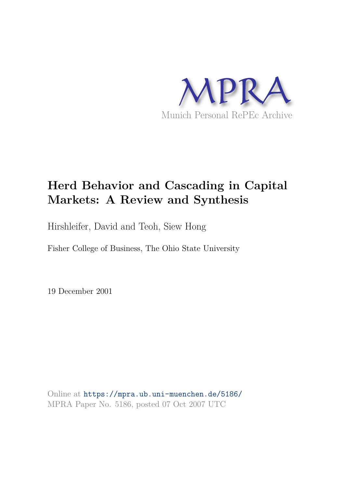

# **Herd Behavior and Cascading in Capital Markets: A Review and Synthesis**

Hirshleifer, David and Teoh, Siew Hong

Fisher College of Business, The Ohio State University

19 December 2001

Online at https://mpra.ub.uni-muenchen.de/5186/ MPRA Paper No. 5186, posted 07 Oct 2007 UTC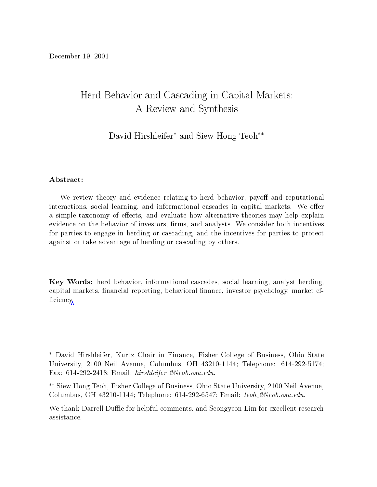# Herd Behavior and Cas
ading in Capital Markets: A Review and Synthesis

## David Hirshleifer and Siew Hong Teoh

### Abstract:

We review theory and evidence relating to herd behavior, payoff and reputational interactions, social learning, and informational cascades in capital markets. We offer a simple taxonomy of effects, and evaluate how alternative theories may help explain evidence on the behavior of investors, firms, and analysts. We consider both incentives for parties to engage in herding or cascading, and the incentives for parties to protect against or take advantage of herding or cascading by others.

Key Words: herd behavior, informational as
ades, so
ial learning, analyst herding, capital markets, financial reporting, behavioral finance, investor psychology, market efficiency

 David Hirshleifer, Kurtz Chair in Finan
e, Fisher College of Business, Ohio State University, 2100 Neil Avenue, Columbus, OH 43210-1144; Telephone: 614-292-5174; Fax: 614-292-2418; Email: hirshleifer\_2@cob.osu.edu.

 Siew Hong Teoh, Fisher College of Business, Ohio State University, 2100 Neil Avenue, Columbus, OH 43210-1144; Telephone: 614-292-6547; Email: teoh\_2@cob.osu.edu.

We thank Darrell Duffie for helpful comments, and Seongyeon Lim for excellent research assistan
e.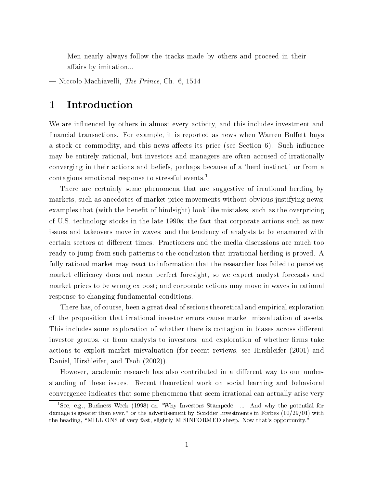Men nearly always follow the tra
ks made by others and pro
eed in their affairs by imitation...

— Niccolo Machiavelli, The Prince, Ch. 6, 1514

# 1 Introduction

We are influenced by others in almost every activity, and this includes investment and financial transactions. For example, it is reported as news when Warren Buffett buys a stock or commodity, and this news affects its price (see Section 6). Such influence may be entirely rational, but investors and managers are often accused of irrationally converging in their actions and beliefs, perhaps because of a 'herd instinct,' or from a ontagious emotional response to stressful events.<sup>1</sup>

There are ertainly some phenomena that are suggestive of irrational herding by markets, su
h as ane
dotes of market pri
e movements without obvious justifying news; examples that (with the benefit of hindsight) look like mistakes, such as the overpricing of U.S. te
hnology sto
ks in the late 1990s; the fa
t that orporate a
tions su
h as new issues and takeovers move in waves; and the tendency of analysts to be enamored with certain sectors at different times. Practioners and the media discussions are much too ready to jump from such patterns to the conclusion that irrational herding is proved. A fully rational market may react to information that the researcher has failed to perceive; market efficiency does not mean perfect foresight, so we expect analyst forecasts and market prices to be wrong ex post; and corporate actions may move in waves in rational response to hanging fundamental onditions.

There has, of course, been a great deal of serious theoretical and empirical exploration of the proposition that irrational investor errors ause market misvaluation of assets. This includes some exploration of whether there is contagion in biases across different investor groups, or from analysts to investors; and exploration of whether firms take a
tions to exploit market misvaluation (for re
ent reviews, see Hirshleifer (2001) and Daniel, Hirshleifer, and Teoh (2002)).

However, academic research has also contributed in a different way to our understanding of these issues. Recent theoretical work on social learning and behavioral convergence indicates that some phenomena that seem irrational can actually arise very

<sup>1</sup> See, e.g., Business Week (1998) on \Why Investors Stampede: ... And why the potential for damage is greater than ever," or the advertisement by Scudder Investments in Forbes (10/29/01) with the heading, "MILLIONS of very fast, slightly MISINFORMED sheep. Now that's opportunity."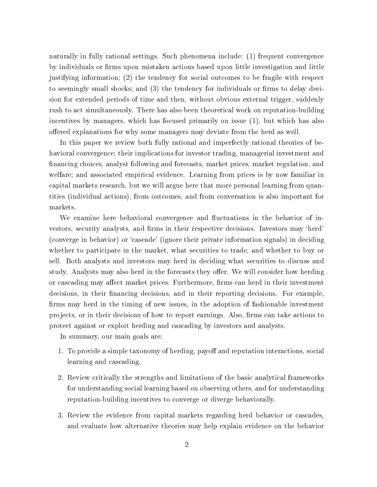naturally in fully rational settings. Such phenomena include: (1) frequent convergence by individuals or firms upon mistaken actions based upon little investigation and little justifying information; (2) the tendency for social outcomes to be fragile with respect to seemingly small shocks; and  $(3)$  the tendency for individuals or firms to delay decision for extended periods of time and then, without obvious external trigger, suddenly rush to act simultaneously. There has also been theoretical work on reputation-building incentives by managers, which has focused primarily on issue (1), but which has also offered explanations for why some managers may deviate from the herd as well.

In this paper we review both fully rational and imperfectly rational theories of behavioral convergence; their implications for investor trading, managerial investment and financing choices, analyst following and forecasts, market prices, market regulation, and welfare; and associated empirical evidence. Learning from prices is by now familiar in apital markets resear
h, but we will argue here that more personal learning from quantities (individual a
tions), from out
omes, and from onversation is also important for markets.

We examine here behavioral convergence and fluctuations in the behavior of investors, security analysts, and firms in their respective decisions. Investors may 'herd' (converge in behavior) or 'cascade' (ignore their private information signals) in deciding whether to participate in the market, what securities to trade, and whether to buy or sell. Both analysts and investors may herd in deciding what securities to discuss and study. Analysts may also herd in the forecasts they offer. We will consider how herding or cascading may affect market prices. Furthermore, firms can herd in their investment decisions, in their financing decisions, and in their reporting decisions. For example, firms may herd in the timing of new issues, in the adoption of fashionable investment projects, or in their decisions of how to report earnings. Also, firms can take actions to prote
t against or exploit herding and as
ading by investors and analysts.

In summary, our main goals are:

- 1. To provide a simple taxonomy of herding, payoff and reputation interactions, social learning and cascading.
- 2. Review critically the strengths and limitations of the basic analytical frameworks for understanding social learning based on observing others, and for understanding reputation-building in
entives to onverge or diverge behaviorally.
- 3. Review the evidence from capital markets regarding herd behavior or cascades, and evaluate how alternative theories may help explain eviden
e on the behavior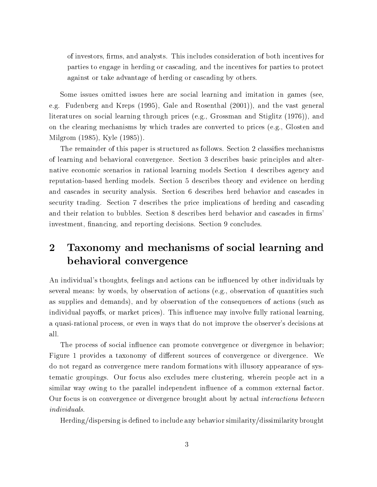of investors, firms, and analysts. This includes consideration of both incentives for parties to engage in herding or cascading, and the incentives for parties to protect against or take advantage of herding or cascading by others.

Some issues omitted issues here are social learning and imitation in games (see, e.g. Fudenberg and Kreps (1995), Gale and Rosenthal (2001)), and the vast general literatures on social learning through prices (e.g., Grossman and Stiglitz (1976)), and on the learing me
hanisms by whi
h trades are onverted to pri
es (e.g., Glosten and Milgrom (1985), Kyle (1985)).

The remainder of this paper is structured as follows. Section 2 classifies mechanisms of learning and behavioral convergence. Section 3 describes basic principles and alternative economic scenarios in rational learning models Section 4 describes agency and reputation-based herding models. Se
tion 5 des
ribes theory and eviden
e on herding and cascades in security analysis. Section 6 describes herd behavior and cascades in security trading. Section 7 describes the price implications of herding and cascading and their relation to bubbles. Section 8 describes herd behavior and cascades in firms' investment, financing, and reporting decisions. Section 9 concludes.

### Taxonomy and me
hanisms of so
ial learning and  $\overline{2}$ behavioral onvergen
e

An individual's thoughts, feelings and actions can be influenced by other individuals by several means: by words, by observation of actions (e.g., observation of quantities such as supplies and demands), and by observation of the consequences of actions (such as individual payoffs, or market prices). This influence may involve fully rational learning, a quasi-rational process, or even in ways that do not improve the observer's decisions at all.

The process of social influence can promote convergence or divergence in behavior; Figure 1 provides a taxonomy of different sources of convergence or divergence. We do not regard as onvergen
e mere random formations with illusory appearan
e of systemati groupings. Our fo
us also ex
ludes mere lustering, wherein people a
t in a similar way owing to the parallel independent influence of a common external factor. Our focus is on convergence or divergence brought about by actual *interactions between* individuals.

Herding/dispersing is defined to include any behavior similarity/dissimilarity brought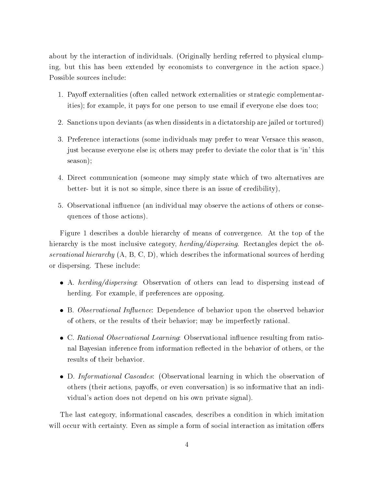about by the interaction of individuals. (Originally herding referred to physical clumping, but this has been extended by economists to convergence in the action space.) Possible sour
es in
lude:

- 1. Payoff externalities (often called network externalities or strategic complementarities); for example, it pays for one person to use email if everyone else does too;
- 2. San
tions upon deviants (as when dissidents in a di
tatorship are jailed or tortured)
- 3. Preferen
e intera
tions (some individuals may prefer to wear Versa
e this season, just because everyone else is; others may prefer to deviate the color that is 'in' this season);
- 4. Dire
t ommuni
ation (someone may simply state whi
h of two alternatives are better- but it is not so simple, since there is an issue of credibility),
- 5. Observational influence (an individual may observe the actions of others or consequences of those actions).

Figure 1 describes a double hierarchy of means of convergence. At the top of the hierarchy is the most inclusive category, *herding/dispersing*. Rectangles depict the *ob*servational hierar
hy (A, B, C, D), whi
h des
ribes the informational sour
es of herding or dispersing. These in
lude:

- A. herding/dispersing: Observation of others an lead to dispersing instead of herding. For example, if preferen
es are opposing.
- B. Observational In
uen
e: Dependen
e of behavior upon the observed behavior of others, or the results of their behavior; may be imperfe
tly rational.
- C. Rational Observational Learning: Observational in
uen
e resulting from rational Bayesian inference from information reflected in the behavior of others, or the results of their behavior.
- D. Informational Cas
ades: (Observational learning in whi
h the observation of others (their actions, payoffs, or even conversation) is so informative that an individual's a
tion does not depend on his own private signal).

The last category, informational cascades, describes a condition in which imitation will occur with certainty. Even as simple a form of social interaction as imitation offers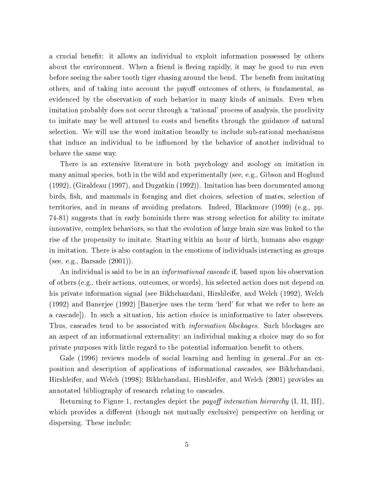a crucial benefit: it allows an individual to exploit information possessed by others about the environment. When a friend is fleeing rapidly, it may be good to run even before seeing the saber tooth tiger chasing around the bend. The benefit from imitating others, and of taking into account the payoff outcomes of others, is fundamental, as evidenced by the observation of such behavior in many kinds of animals. Even when imitation probably does not occur through a 'rational' process of analysis, the proclivity to imitate may be well attuned to costs and benefits through the guidance of natural selection. We will use the word imitation broadly to include sub-rational mechanisms that induce an individual to be influenced by the behavior of another individual to behave the same way.

There is an extensive literature in both psy
hology and zoology on imitation in many animal species, both in the wild and experimentally (see, e.g., Gibson and Hoglund (1992), (Giraldeau (1997), and Dugatkin (1992)). Imitation has been do
umented among birds, fish, and mammals in foraging and diet choices, selection of mates, selection of territories, and in means of avoiding predators. Indeed, Bla
kmore (1999) (e.g., pp. 74-81) suggests that in early hominids there was strong sele
tion for ability to imitate innovative, omplex behaviors, so that the evolution of large brain size was linked to the rise of the propensity to imitate. Starting within an hour of birth, humans also engage in imitation. There is also ontagion in the emotions of individuals intera
ting as groups (see, e.g., Barsade (2001)).

An individual is said to be in an *informational cascade* if, based upon his observation of others (e.g., their actions, outcomes, or words), his selected action does not depend on his private information signal (see Bikhchandani, Hirshleifer, and Welch (1992), Welch (1992) and Banerjee (1992) [Banerjee uses the term `herd' for what we refer to here as a cascade). In such a situation, his action choice is uninformative to later observers. Thus, cascades tend to be associated with *information blockages*. Such blockages are an aspe
t of an informational externality: an individual making a hoi
e may do so for private purposes with little regard to the potential information benefit to others.

Gale (1996) reviews models of so
ial learning and herding in general..For an exposition and des
ription of appli
ations of informational as
ades, see Bikh
handani, Hirshleifer, and Wel
h (1998); Bikh
handani, Hirshleifer, and Wel
h (2001) provides an annotated bibliography of research relating to cascades

Returning to Figure 1, rectangles depict the *payoff interaction hierarchy* (I, II, III), which provides a different (though not mutually exclusive) perspective on herding or dispersing. These in
lude: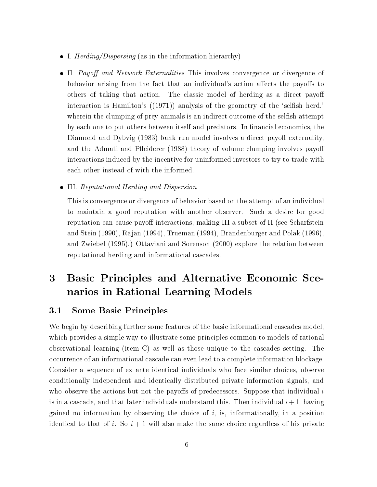- $\mathcal{L}$  . Here,  $\mathcal{L}$  is the internal function for the internal formation  $\mathcal{L}$
- II. Payo and Network Externalities This involves onvergen
e or divergen
e of behavior arising from the fact that an individual's action affects the payoffs to others of taking that action. The classic model of herding as a direct payoff interaction is Hamilton's  $((1971))$  analysis of the geometry of the 'selfish herd,' wherein the clumping of prey animals is an indirect outcome of the selfish attempt by each one to put others between itself and predators. In financial economics, the Diamond and Dybvig (1983) bank run model involves a direct payoff externality, and the Admati and Pfleiderer (1988) theory of volume clumping involves payoff intera
tions indu
ed by the in
entive for uninformed investors to try to trade with ea
h other instead of with the informed.
- II. FOOD MUMUU HUMU ISLAMING AND DISPERSION

This is onvergen
e or divergen
e of behavior based on the attempt of an individual to maintain a good reputation with another observer. Su
h a desire for good reputation can cause payoff interactions, making III a subset of II (see Scharfstein and Stein (1990), Rajan (1994), Trueman (1994), Brandenburger and Polak (1996), and Zwiebel (1995).) Ottaviani and Sorenson (2000) explore the relation between reputational herding and informational cascades.

# 3 Basic Principles and Alternative Economic Scenarios in Rational Learning Models

### 3.1 Some Basic Principles

We begin by describing further some features of the basic informational cascades model, which provides a simple way to illustrate some principles common to models of rational observational learning (item  $C$ ) as well as those unique to the cascades setting. The occurrence of an informational cascade can even lead to a complete information blockage. Consider a sequence of ex ante identical individuals who face similar choices, observe onditionally independent and identi
ally distributed private information signals, and who observe the actions but not the payoffs of predecessors. Suppose that individual  $i$ is in a cascade, and that later individuals understand this. Then individual  $i+1$ , having gained no information by observing the choice of  $i$ , is, informationally, in a position identical to that of i. So  $i + 1$  will also make the same choice regardless of his private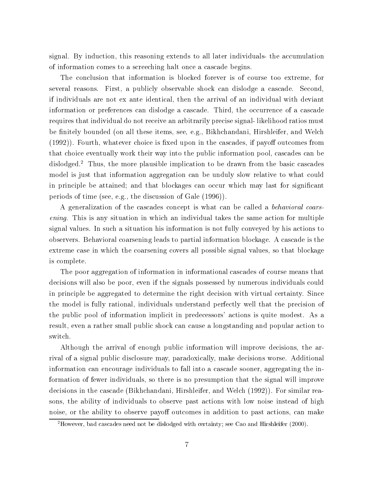signal. By induction, this reasoning extends to all later individuals- the accumulation of information comes to a screeching halt once a cascade begins.

The on
lusion that information is blo
ked forever is of ourse too extreme, for several reasons. First, a publicly observable shock can dislodge a cascade. Second, if individuals are not ex ante identi
al, then the arrival of an individual with deviant information or preferences can dislodge a cascade. Third, the occurrence of a cascade requires that individual do not re
eive an arbitrarily pre
ise signal- likelihood ratios must be finitely bounded (on all these items, see, e.g., Bikhchandani, Hirshleifer, and Welch  $(1992)$ ). Fourth, whatever choice is fixed upon in the cascades, if payoff outcomes from that choice eventually work their way into the public information pool, cascades can be dislodged. I hus, the more plausible implication to be drawn from the basic cascades model is just that information aggregation can be unduly slow relative to what could in principle be attained; and that blockages can occur which may last for significant periods of time (see, e.g., the dis
ussion of Gale (1996)).

A generalization of the cascades concept is what can be called a *behavioral coars*ening. This is any situation in which an individual takes the same action for multiple signal values. In such a situation his information is not fully conveyed by his actions to observers. Behavioral coarsening leads to partial information blockage. A cascade is the extreme case in which the coarsening covers all possible signal values, so that blockage is omplete.

The poor aggregation of information in informational cascades of course means that decisions will also be poor, even if the signals possessed by numerous individuals could in principle be aggregated to determine the right decision with virtual certainty. Since the model is fully rational, individuals understand perfectly well that the precision of the publi pool of information impli
it in prede
essors' a
tions is quite modest. As a result, even a rather small public shock can cause a longstanding and popular action to swit
h.

Although the arrival of enough publi information will improve de
isions, the arrival of a signal publi dis
losure may, paradoxi
ally, make de
isions worse. Additional information can encourage individuals to fall into a cascade sooner, aggregating the information of fewer individuals, so there is no presumption that the signal will improve decisions in the cascade (Bikhchandani, Hirshleifer, and Welch (1992)). For similar reasons, the ability of individuals to observe past a
tions with low noise instead of high noise, or the ability to observe payoff outcomes in addition to past actions, can make

<sup>2</sup>However, bad as
ades need not be dislodged with ertainty; see Cao and Hirshleifer (2000).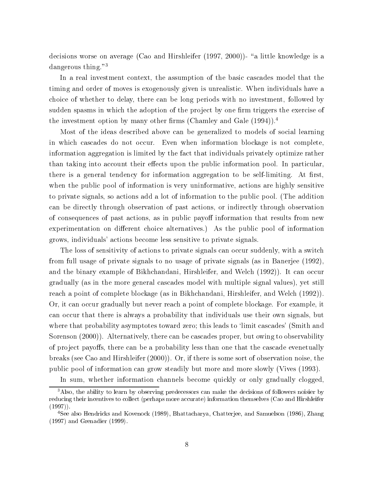decisions worse on average (Cao and Hirshleifer (1997, 2000))- "a little knowledge is a dangerous thing."<sup>3</sup>

In a real investment context, the assumption of the basic cascades model that the timing and order of moves is exogenously given is unrealisti
. When individuals have a hoi
e of whether to delay, there an be long periods with no investment, followed by sudden spasms in which the adoption of the project by one firm triggers the exercise of the investment option by many other firms (Chamley and Gale  $(1994)$ ).<sup>4</sup>

Most of the ideas described above can be generalized to models of social learning in which cascades do not occur. Even when information blockage is not complete, information aggregation is limited by the fa
t that individuals privately optimize rather than taking into account their effects upon the public information pool. In particular, there is a general tendency for information aggregation to be self-limiting. At first, when the public pool of information is very uninformative, actions are highly sensitive to private signals, so actions add a lot of information to the public pool. (The addition an be dire
tly through observation of past a
tions, or indire
tly through observation of consequences of past actions, as in public payoff information that results from new experimentation on different choice alternatives.) As the public pool of information grows, individuals' a
tions be
ome less sensitive to private signals.

The loss of sensitivity of actions to private signals can occur suddenly, with a switch from full usage of private signals to no usage of private signals (as in Banerjee (1992), and the binary example of Bikhchandani, Hirshleifer, and Welch (1992)). It can occur gradually (as in the more general as
ades model with multiple signal values), yet still reach a point of complete blockage (as in Bikhchandani, Hirshleifer, and Welch (1992)). Or, it can occur gradually but never reach a point of complete blockage. For example, it can occur that there is always a probability that individuals use their own signals, but where that probability asymptotes toward zero; this leads to 'limit cascades' (Smith and Sorenson (2000)). Alternatively, there can be cascades proper, but owing to observability of project payoffs, there can be a probability less than one that the cascade evenetually breaks (see Cao and Hirshleifer (2000)). Or, if there is some sort of observation noise, the publi pool of information an grow steadily but more and more slowly (Vives (1993).

In sum, whether information channels become quickly or only gradually clogged,

<sup>&</sup>lt;sup>3</sup>Also, the ability to learn by observing predecessors can make the decisions of followers noisier by reducing their incentives to collect (perhaps more accurate) information themselves (Cao and Hirshleifer (1997)).

<sup>4</sup> See also Hendri
ks and Koveno
k (1989), Bhatta
harya, Chatterjee, and Samuelson (1986), Zhang (1997) and Grenadier (1999).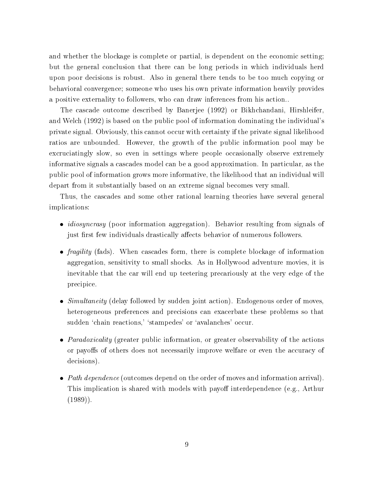and whether the blockage is complete or partial, is dependent on the economic setting; but the general conclusion that there can be long periods in which individuals herd upon poor de
isions is robust. Also in general there tends to be too mu
h opying or behavioral onvergen
e; someone who uses his own private information heavily provides a positive externality to followers, who can draw inferences from his action...

The as
ade out
ome des
ribed by Banerjee (1992) or Bikh
handani, Hirshleifer, and Welch (1992) is based on the public pool of information dominating the individual's private signal. Obviously, this cannot occur with certainty if the private signal likelihood ratios are unbounded. However, the growth of the publi information pool may be excruciatingly slow, so even in settings where people occasionally observe extremely informative signals a cascades model can be a good approximation. In particular, as the publi pool of information grows more informative, the likelihood that an individual will depart from it substantially based on an extreme signal becomes very small.

Thus, the cascades and some other rational learning theories have several general impli
ations:

- idiosyn
rasy (poor information aggregation). Behavior resulting from signals of just first few individuals drastically affects behavior of numerous followers.
- fragility (fads). When as
ades form, there is omplete blo
kage of information aggregation, sensitivity to small sho
ks. As in Hollywood adventure movies, it is inevitable that the ar will end up teetering pre
ariously at the very edge of the precipice.
- Simultaneity (delay followed by sudden joint a
tion). Endogenous order of moves, heterogeneous preferences and precisions can exacerbate these problems so that sudden 'chain reactions,' 'stampedes' or 'avalanches' occur.
- Paradoxical information, business the anti-resolution of the anti-resolution, or extra construction or payoffs of others does not necessarily improve welfare or even the accuracy of decisions).
- Path dependen
e (out
omes depend on the order of moves and information arrival). This implication is shared with models with payoff interdependence (e.g., Arthur (1989)).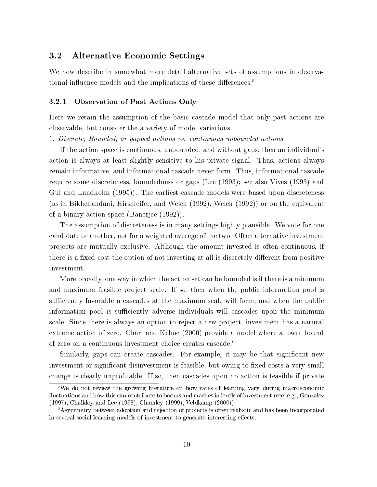#### $3.2\,$ Alternative Economic Settings

We now describe in somewhat more detail alternative sets of assumptions in observational influence models and the implications of these differences.<sup>5</sup>

### 3.2.1 Observation of Past A
tions Only

Here we retain the assumption of the basic cascade model that only past actions are observable, but onsider the a variety of model variations.

1. Dis
rete, Bounded, or gapped a
tions vs. ontinuous unbounded a
tions

If the a
tion spa
e is ontinuous, unbounded, and without gaps, then an individual's a
tion is always at least slightly sensitive to his private signal. Thus, a
tions always remain informative, and informational cascade never form. Thus, informational cascade require some discreteness, boundedness or gaps (Lee (1993); see also Vives (1993) and Gul and Lundholm (1995). The earliest cascade models were based upon discreteness (as in Bikh
handani, Hirshleifer, and Wel
h (1992), Wel
h (1992)) or on the equivalent of a binary a
tion spa
e (Banerjee (1992)).

The assumption of dis
reteness is in many settings highly plausible. We vote for one andidate or another, not for a weighted average of the two. Often alternative investment proje
ts are mutually ex
lusive. Although the amount invested is often ontinuous, if there is a fixed cost the option of not investing at all is discretely different from positive investment.

More broadly, one way in which the action set can be bounded is if there is a minimum and maximum feasible project scale. If so, then when the public information pool is sufficiently favorable a cascades at the maximum scale will form, and when the public information pool is sufficiently adverse individuals will cascades upon the minimum s
ale. Sin
e there is always an option to reje
t a new proje
t, investment has a natural extreme a
tion of zero. Chari and Kehoe (2000) provide a model where a lower bound of zero on a continuous investment choice creates cascade.<sup>6</sup>

Similarly, gaps can create cascades. For example, it may be that significant new investment or significant disinvestment is feasible, but owing to fixed costs a very small change is clearly unprofitable. If so, then cascades upon no action is feasible if private

<sup>&</sup>lt;sup>5</sup>We do not review the growing literature on how rates of learning vary during macroeconomic fluctuations and how this can contribute to booms and crashes in levels of investment (see, e.g., Gonzalez (1997), Chalkley and Lee (1998), Chamley (1999), Veldkamp (2000)).

<sup>&</sup>lt;sup>6</sup>Asymmetry between adoption and rejection of projects is often realistic and has been incorporated in several social learning models of investment to generate interesting effects.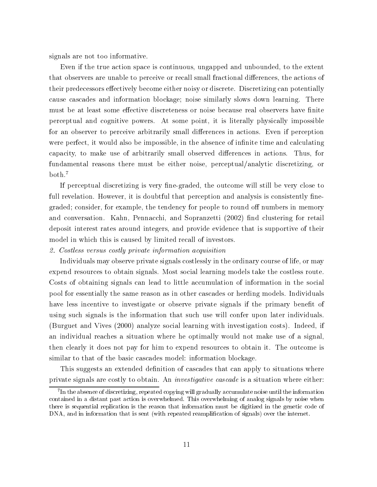signals are not too informative.

Even if the true action space is continuous, ungapped and unbounded, to the extent that observers are unable to perceive or recall small fractional differences, the actions of their predecessors effectively become either noisy or discrete. Discretizing can potentially cause cascades and information blockage; noise similarly slows down learning. There must be at least some effective discreteness or noise because real observers have finite per
eptual and ognitive powers. At some point, it is literally physi
ally impossible for an observer to perceive arbitrarily small differences in actions. Even if perception were perfect, it would also be impossible, in the absence of infinite time and calculating capacity, to make use of arbitrarily small observed differences in actions. Thus, for fundamental reasons there must be either noise, perceptual/analytic discretizing, or both.<sup>7</sup>

If perceptual discretizing is very fine-graded, the outcome will still be very close to full revelation. However, it is doubtful that perception and analysis is consistently finegraded; consider, for example, the tendency for people to round off numbers in memory and conversation. Kahn, Pennacchi, and Sopranzetti (2002) find clustering for retail deposit interest rates around integers, and provide eviden
e that is supportive of their model in which this is caused by limited recall of investors.

### 2. Costless versus ostly private information a
quisition

Individuals may observe private signals costlessly in the ordinary course of life, or may expend resources to obtain signals. Most social learning models take the costless route. Costs of obtaining signals can lead to little accumulation of information in the social pool for essentially the same reason as in other cascades or herding models. Individuals have less incentive to investigate or observe private signals if the primary benefit of using su
h signals is the information that su
h use will onfer upon later individuals. (Burguet and Vives (2000) analyze so
ial learning with investigation osts). Indeed, if an individual rea
hes a situation where he optimally would not make use of a signal, then learly it does not pay for him to expend resour
es to obtain it. The out
ome is similar to that of the basic cascades model: information blockage.

This suggests an extended definition of cascades that can apply to situations where private signals are costly to obtain. An *investigative cascade* is a situation where either:

<sup>7</sup> In the absen
e of dis
retizing, repeated opying will gradually a

umulate noise until the information contained in a distant past action is overwhelmed. This overwhelming of analog signals by noise when there is sequential replication is the reason that information must be digitized in the genetic code of DNA, and in information that is sent (with repeated reamplification of signals) over the internet.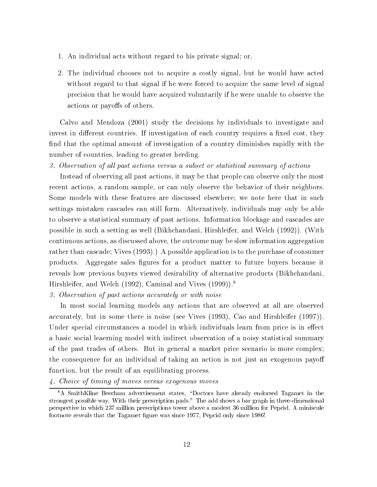- 1. An individual a
ts without regard to his private signal; or,
- 2. The individual hooses not to a
quire a ostly signal, but he would have a
ted without regard to that signal if he were for
ed to a
quire the same level of signal pre
ision that he would have a
quired voluntarily if he were unable to observe the actions or payoffs of others.

Calvo and Mendoza (2001) study the de
isions by individuals to investigate and invest in different countries. If investigation of each country requires a fixed cost, they find that the optimal amount of investigation of a country diminishes rapidly with the number of countries, leading to greater herding.

al observation of all past all contracts and all past all contracts and contracts a subset of all contracts and

Instead of observing all past actions, it may be that people can observe only the most recent actions, a random sample, or can only observe the behavior of their neighbors. Some models with these features are discussed elsewhere; we note here that in such settings mistaken cascades can still form. Alternatively, individuals may only be able to observe a statistical summary of past actions. Information blockage and cascades are possible in su
h a setting as well (Bikh
handani, Hirshleifer, and Wel
h (1992)). (With ontinuous a
tions, as dis
ussed above, the out
ome may be slow information aggregation rather than cascade; Vives (1993).) A possible application is to the purchase of consumer products. Aggregate sales figures for a product matter to future buyers because it reveals how previous buyers viewed desirability of alternative products (Bikhchandani, Hirshleifer, and Welch (1992), Caminal and Vives (1999)).<sup>8</sup>

3. Observation of past a
tions a

urately or with noise

In most social learning models any actions that are observed at all are observed a

urately, but in some there is noise (see Vives (1993), Cao and Hirshleifer (1997)). Under special circumstances a model in which individuals learn from price is in effect a basic social leaerning model with indirect observation of a noisy statistical summary of the past trades of others. But in general a market pri
e s
enario is more omplex; the onsequen
e for an individual of taking an a
tion is not just an exogenous payo function, but the result of an equilibrating process.

4. Choi
e of timing of moves versus exogenous moves

<sup>&</sup>lt;sup>8</sup>A SmithKline Beecham advertisement states, "Doctors have already endorsed Tagamet in the strongest possible way. With their pres
ription pads." The add shows a bar graph in three-dimensional perspective in which 237 million prescriptions tower above a modest 36 million for Pepcid. A miniscule footnote reveals that the Tagamet figure was since 1977, Pepcid only since 1986!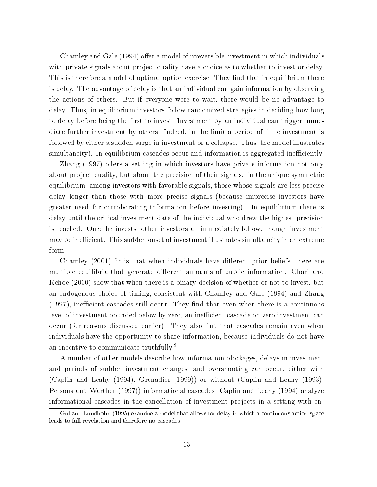Chamley and Gale (1994) offer a model of irreversible investment in which individuals with private signals about project quality have a choice as to whether to invest or delay. This is therefore a model of optimal option exercise. They find that in equilibrium there is delay. The advantage of delay is that an individual an gain information by observing the a
tions of others. But if everyone were to wait, there would be no advantage to delay. Thus, in equilibrium investors follow randomized strategies in de
iding how long to delay before being the first to invest. Investment by an individual can trigger immediate further investment by others. Indeed, in the limit a period of little investment is followed by either a sudden surge in investment or a ollapse. Thus, the model illustrates simultaneity). In equilibrium cascades occur and information is aggregated inefficiently.

Zhang (1997) offers a setting in which investors have private information not only about project quality, but about the precision of their signals. In the unique symmetric equilibrium, among investors with favorable signals, those whose signals are less pre
ise delay longer than those with more pre
ise signals (be
ause impre
ise investors have greater need for orroborating information before investing). In equilibrium there is delay until the critical investment date of the individual who drew the highest precision is rea
hed. On
e he invests, other investors all immediately follow, though investment may be inefficient. This sudden onset of investment illustrates simultaneity in an extreme form.

Chamley (2001) finds that when individuals have different prior beliefs, there are multiple equilibria that generate different amounts of public information. Chari and Kehoe (2000) show that when there is a binary decision of whether or not to invest, but an endogenous hoi
e of timing, onsistent with Chamley and Gale (1994) and Zhang (1997), inefficient cascades still occur. They find that even when there is a continuous level of investment bounded below by zero, an inefficient cascade on zero investment can occur (for reasons discussed earlier). They also find that cascades remain even when individuals have the opportunity to share information, be
ause individuals do not have an incentive to communicate truthfully.<sup>9</sup>

A number of other models des
ribe how information blo
kages, delays in investment and periods of sudden investment changes, and overshooting can occur, either with (Caplin and Leahy (1994), Grenadier (1999)) or without (Caplin and Leahy (1993), Persons and Warther (1997) informational cascades. Caplin and Leahy (1994) analyze informational cascades in the cancellation of investment projects in a setting with en-

<sup>&</sup>lt;sup>9</sup>Gul and Lundholm (1995) examine a model that allows for delay in which a continuous action space leads to full revelation and therefore no cascades.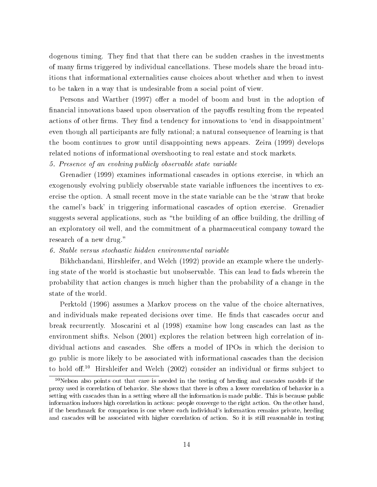dogenous timing. They find that that there can be sudden crashes in the investments of many firms triggered by individual cancellations. These models share the broad intuitions that informational externalities cause choices about whether and when to invest to be taken in a way that is undesirable from a social point of view.

Persons and Warther (1997) offer a model of boom and bust in the adoption of financial innovations based upon observation of the payoffs resulting from the repeated actions of other firms. They find a tendency for innovations to 'end in disappointment' even though all participants are fully rational; a natural consequence of learning is that the boom continues to grow until disappointing news appears. Zeira (1999) develops related notions of informational overshooting to real estate and stock markets.

### 5. Presence of an evolving publicly observable state variable

Grenadier (1999) examines informational cascades in options exercise, in which an exogenously evolving publicly observable state variable influences the incentives to exercise the option. A small recent move in the state variable can be the 'straw that broke the camel's back' in triggering informational cascades of option exercise. Grenadier suggests several applications, such as "the building of an office building, the drilling of an exploratory oil well, and the commitment of a pharmaceutical company toward the research of a new drug."

### 6. Stable versus stochastic hidden environmental variable

Bikhchandani, Hirshleifer, and Welch (1992) provide an example where the underlying state of the world is stochastic but unobservable. This can lead to fads wherein the probability that action changes is much higher than the probability of a change in the state of the world.

Perktold (1996) assumes a Markov process on the value of the choice alternatives, and individuals make repeated decisions over time. He finds that cascades occur and break recurrently. Moscarini et al (1998) examine how long cascades can last as the environment shifts. Nelson (2001) explores the relation between high correlation of individual actions and cascades. She offers a model of IPOs in which the decision to go public is more likely to be associated with informational cascades than the decision to hold off.<sup>10</sup> Hirshleifer and Welch (2002) consider an individual or firms subject to

<sup>&</sup>lt;sup>10</sup>Nelson also points out that care is needed in the testing of herding and cascades models if the proxy used is correlation of behavior. She shows that there is often a lower correlation of behavior in a setting with cascades than in a setting where all the information is made public. This is because public information induces high correlation in actions: people converge to the right action. On the other hand, if the benchmark for comparison is one where each individual's information remains private, herding and cascades will be associated with higher correlation of action. So it is still reasonable in testing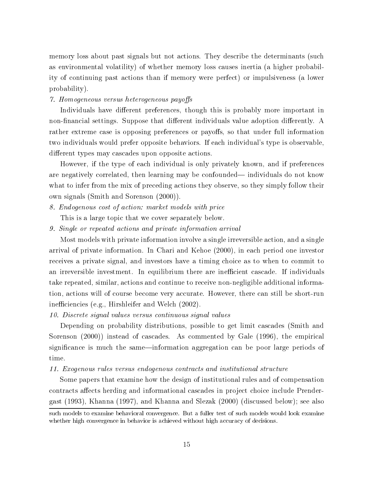memory loss about past signals but not actions. They describe the determinants (such as environmental volatility) of whether memory loss auses inertia (a higher probability of ontinuing past a
tions than if memory were perfe
t) or impulsiveness (a lower probability).

### 7. Homogeneous versus heterogeneous payos

Individuals have different preferences, though this is probably more important in non-financial settings. Suppose that different individuals value adoption differently. A rather extreme case is opposing preferences or payoffs, so that under full information two individuals would prefer opposite behaviors. If ea
h individual's type is observable, different types may cascades upon opposite actions.

However, if the type of ea
h individual is only privately known, and if preferen
es are negatively correlated, then learning may be confounded— individuals do not know what to infer from the mix of preceding actions they observe, so they simply follow their own signals (Smith and Sorenson (2000)).

8. Endogenous ost of a
tion: market models with pri
e

This is a large topic that we cover separately below.

9. Single or repeated a
tions and private information arrival

Most models with private information involve a single irreversible a
tion, and a single arrival of private information. In Chari and Kehoe (2000), in ea
h period one investor receives a private signal, and investors have a timing choice as to when to commit to an irreversible investment. In equilibrium there are inefficient cascade. If individuals take repeated, similar, a
tions and ontinue to re
eive non-negligible additional information, actions will of course become very accurate. However, there can still be short-run inefficiencies (e.g., Hirshleifer and Welch (2002).

10. Dis
rete signal values versus ontinuous signal values

Depending on probability distributions, possible to get limit cascades (Smith and Sorenson (2000)) instead of cascades. As commented by Gale (1996), the empirical significance is much the same—information aggregation can be poor large periods of time.

### 11. Exogenous rules versus endogenous ontra
ts and institutional stru
ture

Some papers that examine how the design of institutional rules and of compensation contracts affects herding and informational cascades in project choice include Prendergast (1993), Khanna (1997), and Khanna and Slezak (2000) (dis
ussed below); see also

su
h models to examine behavioral onvergen
e. But <sup>a</sup> fuller test of su
h models would look examine whether is a constructed with a construction of decomposition and any and decomposition of the construction of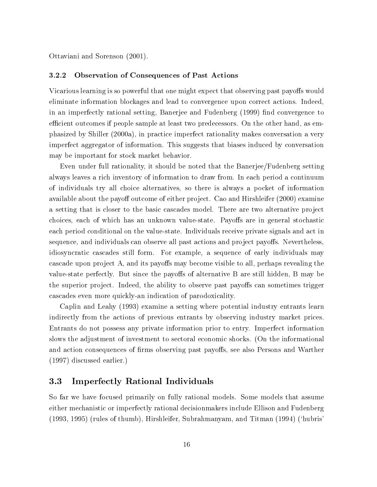Ottaviani and Sorenson (2001).

### 3.2.2 Observation of Consequen
es of Past A
tions

Vicarious learning is so powerful that one might expect that observing past payoffs would eliminate information blockages and lead to convergence upon correct actions. Indeed, in an imperfectly rational setting, Banerjee and Fudenberg (1999) find convergence to efficient outcomes if people sample at least two predecessors. On the other hand, as emphasized by Shiller (2000a), in pra
ti
e imperfe
t rationality makes onversation a very imperfe
t aggregator of information. This suggests that biases indu
ed by onversation may be important for sto
k market behavior.

Even under full rationality, it should be noted that the Banerjee/Fudenberg setting always leaves a rich inventory of information to draw from. In each period a continuum of individuals try all hoi
e alternatives, so there is always a po
ket of information available about the payoff outcome of either project. Cao and Hirshleifer (2000) examine a setting that is closer to the basic cascades model. There are two alternative project choices, each of which has an unknown value-state. Payoffs are in general stochastic each period conditional on the value-state. Individuals receive private signals and act in sequence, and individuals can observe all past actions and project payoffs. Nevertheless, idiosyncratic cascades still form. For example, a sequence of early individuals may cascade upon project A, and its payoffs may become visible to all, perhaps revealing the value-state perfectly. But since the payoffs of alternative B are still hidden, B may be the superior project. Indeed, the ability to observe past payoffs can sometimes trigger as
ades even more qui
kly-an indi
ation of parodoxi
ality.

Caplin and Leahy (1993) examine a setting where potential industry entrants learn indirectly from the actions of previous entrants by observing industry market prices. Entrants do not possess any private information prior to entry. Imperfe
t information slows the adjustment of investment to sectoral economic shocks. (On the informational and action consequences of firms observing past payoffs, see also Persons and Warther (1997) dis
ussed earlier.)

### 3.3 Imperfe
tly Rational Individuals

So far we have focused primarily on fully rational models. Some models that assume either mechanistic or imperfectly rational decisionmakers include Ellison and Fudenberg (1993, 1995) (rules of thumb), Hirshleifer, Subrahmanyam, and Titman (1994) (`hubris'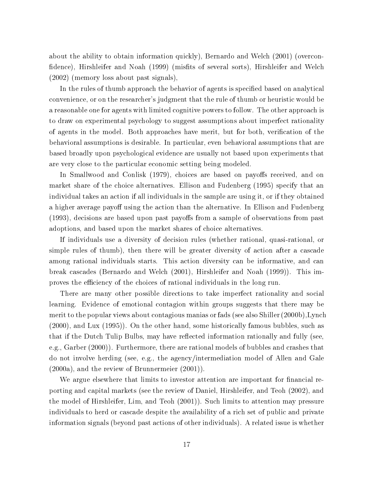about the ability to obtain information quickly), Bernardo and Welch (2001) (overconfidence), Hirshleifer and Noah (1999) (misfits of several sorts), Hirshleifer and Welch (2002) (memory loss about past signals),

In the rules of thumb approach the behavior of agents is specified based on analytical convenience, or on the researcher's judgment that the rule of thumb or heuristic would be a reasonable one for agents with limited cognitive powers to follow. The other approach is to draw on experimental psychology to suggest assumptions about imperfect rationality of agents in the model. Both approaches have merit, but for both, verification of the behavioral assumptions is desirable. In particular, even behavioral assumptions that are based broadly upon psy
hologi
al eviden
e are usually not based upon experiments that are very lose to the parti
ular e
onomi setting being modeled.

In Smallwood and Conlisk (1979), choices are based on payoffs received, and on market share of the choice alternatives. Ellison and Fudenberg (1995) specify that an individual takes an a
tion if all individuals in the sample are using it, or if they obtained a higher average payoff using the action than the alternative. In Ellison and Fudenberg (1993), decisions are based upon past payoffs from a sample of observations from past adoptions, and based upon the market shares of hoi
e alternatives.

If individuals use a diversity of de
ision rules (whether rational, quasi-rational, or simple rules of thumb), then there will be greater diversity of action after a cascade among rational individuals starts. This action diversity can be informative, and can break as
ades (Bernardo and Wel
h (2001), Hirshleifer and Noah (1999)). This improves the efficiency of the choices of rational individuals in the long run.

There are many other possible directions to take imperfect rationality and social learning. Eviden
e of emotional ontagion within groups suggests that there may be merit to the popular views about contagious manias or fads (see also Shiller (2000b), Lynch  $(2000)$ , and Lux  $(1995)$ ). On the other hand, some historically famous bubbles, such as that if the Dutch Tulip Bulbs, may have reflected information rationally and fully (see, e.g., Garber (2000)). Furthermore, there are rational models of bubbles and crashes that do not involve herding (see, e.g., the agency/intermediation model of Allen and Gale (2000a), and the review of Brunnermeier (2001)).

We argue elsewhere that limits to investor attention are important for financial reporting and apital markets (see the review of Daniel, Hirshleifer, and Teoh (2002), and the model of Hirshleifer, Lim, and Teoh (2001)). Su
h limits to attention may pressure individuals to herd or cascade despite the availability of a rich set of public and private information signals (beyond past a
tions of other individuals). A related issue is whether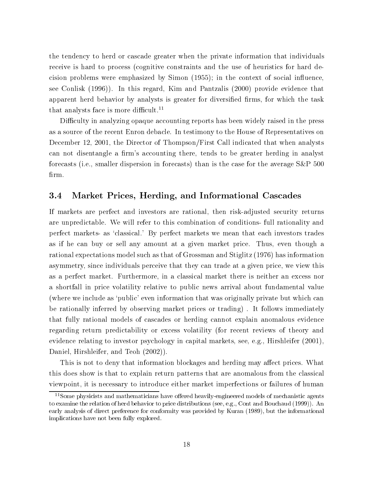the tendency to herd or cascade greater when the private information that individuals receive is hard to process (cognitive constraints and the use of heuristics for hard decision problems were emphasized by Simon (1955); in the context of social influence, see Conlisk (1996)). In this regard, Kim and Pantzalis (2000) provide evidence that apparent herd behavior by analysts is greater for diversified firms, for which the task that analysts face is more difficult.<sup>11</sup>

Difficulty in analyzing opaque accounting reports has been widely raised in the press as a source of the recent Enron debacle. In testimony to the House of Representatives on December 12, 2001, the Director of Thompson/First Call indicated that when analysts can not disentangle a firm's accounting there, tends to be greater herding in analyst forecasts (i.e., smaller dispersion in forecasts) than is the case for the average S&P 500 firm.

#### 3.4 Market Prices, Herding, and Informational Cascades

If markets are perfect and investors are rational, then risk-adjusted security returns are unpredictable. We will refer to this combination of conditions- full rationality and perfect markets- as 'classical.' By perfect markets we mean that each investors trades as if he can buy or sell any amount at a given market price. Thus, even though a rational expectations model such as that of Grossman and Stiglitz (1976) has information asymmetry, since individuals perceive that they can trade at a given price, we view this as a perfect market. Furthermore, in a classical market there is neither an excess nor a shortfall in price volatility relative to public news arrival about fundamental value (where we include as 'public' even information that was originally private but which can be rationally inferred by observing market prices or trading). It follows immediately that fully rational models of cascades or herding cannot explain anomalous evidence regarding return predictability or excess volatility (for recent reviews of theory and evidence relating to investor psychology in capital markets, see, e.g., Hirshleifer (2001), Daniel, Hirshleifer, and Teoh (2002)).

This is not to deny that information blockages and herding may affect prices. What this does show is that to explain return patterns that are anomalous from the classical viewpoint, it is necessary to introduce either market imperfections or failures of human

 $11$ Some physicists and mathematicians have offered heavily-engineered models of mechanistic agents to examine the relation of herd behavior to price distributions (see, e.g., Cont and Bouchaud (1999)). An early analysis of direct preference for conformity was provided by Kuran (1989), but the informational implications have not been fully explored.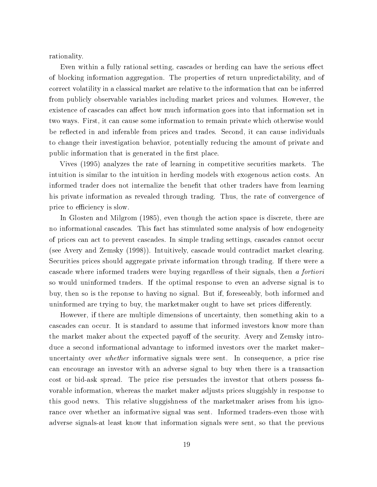rationality.

Even within a fully rational setting, cascades or herding can have the serious effect of blo
king information aggregation. The properties of return unpredi
tability, and of orre
t volatility in a lassi
al market are relative to the information that an be inferred from publi
ly observable variables in
luding market pri
es and volumes. However, the existence of cascades can affect how much information goes into that information set in two ways. First, it can cause some information to remain private which otherwise would be reflected in and inferable from prices and trades. Second, it can cause individuals to hange their investigation behavior, potentially redu
ing the amount of private and public information that is generated in the first place.

Vives (1995) analyzes the rate of learning in competitive securities markets. The intuition is similar to the intuition in herding models with exogenous action costs. An informed trader does not internalize the benet that other traders have from learning his private information as revealed through trading. Thus, the rate of convergence of price to efficiency is slow.

In Glosten and Milgrom (1985), even though the action space is discrete, there are no informational as
ades. This fa
t has stimulated some analysis of how endogeneity of prices can act to prevent cascades. In simple trading settings, cascades cannot occur (see Avery and Zemsky (1998)). Intuitively, as
ade would ontradi
t market learing. Se
urities pri
es should aggregate private information through trading. If there were a cascade where informed traders were buying regardless of their signals, then a fortiori so would uninformed traders. If the optimal response to even an adverse signal is to buy, then so is the reponse to having no signal. But if, foreseeably, both informed and uninformed are trying to buy, the marketmaker ought to have set prices differently.

However, if there are multiple dimensions of un
ertainty, then something akin to a cascades can occur. It is standard to assume that informed investors know more than the market maker about the expected payoff of the security. Avery and Zemsky introduce a second informational advantage to informed investors over the market makeruncertainty over *whether* informative signals were sent. In consequence, a price rise an en
ourage an investor with an adverse signal to buy when there is a transa
tion cost or bid-ask spread. The price rise persuades the investor that others possess favorable information, whereas the market maker adjusts pri
es sluggishly in response to this good news. This relative sluggishness of the marketmaker arises from his ignoran
e over whether an informative signal was sent. Informed traders-even those with adverse signals-at least know that information signals were sent, so that the previous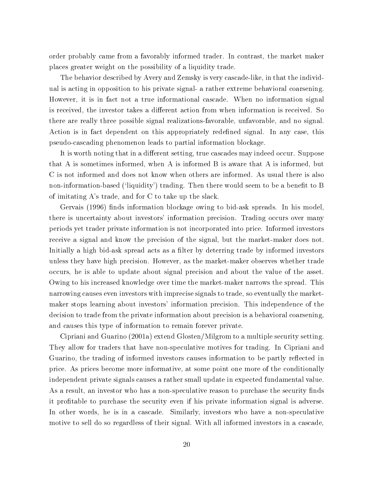order probably ame from a favorably informed trader. In ontrast, the market maker pla
es greater weight on the possibility of a liquidity trade.

The behavior described by Avery and Zemsky is very cascade-like, in that the individual is a
ting in opposition to his private signal- a rather extreme behavioral oarsening. However, it is in fact not a true informational cascade. When no information signal is received, the investor takes a different action from when information is received. So there are really three possible signal realizations-favorable, unfavorable, and no signal. Action is in fact dependent on this appropriately redefined signal. In any case, this pseudoas
ading phenomenon leads to partial information blo
kage.

It is worth noting that in a different setting, true cascades may indeed occur. Suppose that A is sometimes informed, when A is informed B is aware that A is informed, but C is not informed and does not know when others are informed. As usual there is also non-information-based ('liquidity') trading. Then there would seem to be a benefit to B of imitating A's trade, and for C to take up the sla
k.

Gervais (1996) finds information blockage owing to bid-ask spreads. In his model, there is uncertainty about investors' information precision. Trading occurs over many periods yet trader private information is not in
orporated into pri
e. Informed investors receive a signal and know the precision of the signal, but the market-maker does not. Initially a high bid-ask spread acts as a filter by deterring trade by informed investors unless they have high pre
ision. However, as the market-maker observes whether trade occurs, he is able to update about signal precision and about the value of the asset. Owing to his in
reased knowledge over time the market-maker narrows the spread. This narrowing causes even investors with imprecise signals to trade, so eventually the marketmaker stops learning about investors' information precision. This independence of the decision to trade from the private information about precision is a behavioral coarsening, and auses this type of information to remain forever private.

Cipriani and Guarino (2001a) extend Glosten/Milgrom to a multiple se
urity setting. They allow for traders that have non-speculative motives for trading. In Cipriani and Guarino, the trading of informed investors causes information to be partly reflected in pri
e. As pri
es be
ome more informative, at some point one more of the onditionally independent private signals auses a rather small update in expe
ted fundamental value. As a result, an investor who has a non-speculative reason to purchase the security finds it profitable to purchase the security even if his private information signal is adverse. In other words, he is in a cascade. Similarly, investors who have a non-speculative motive to sell do so regardless of their signal. With all informed investors in a cascade,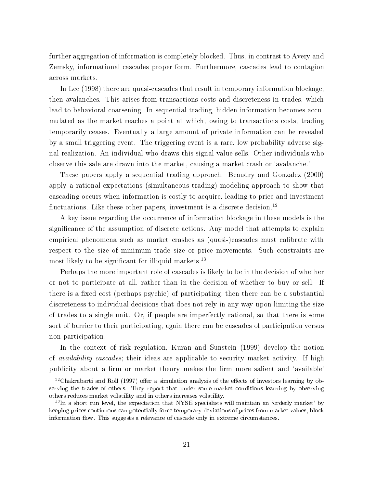further aggregation of information is completely blocked. Thus, in contrast to Avery and Zemsky, informational cascades proper form. Furthermore, cascades lead to contagion a
ross markets.

In Lee (1998) there are quasi-cascades that result in temporary information blockage, then avalanches. This arises from transactions costs and discreteness in trades, which lead to behavioral coarsening. In sequential trading, hidden information becomes accumulated as the market rea
hes a point at whi
h, owing to transa
tions osts, trading temporarily eases. Eventually a large amount of private information an be revealed by a small triggering event. The triggering event is a rare, low probability adverse signal realization. An individual who draws this signal value sells. Other individuals who observe this sale are drawn into the market, causing a market crash or 'avalanche.'

These papers apply a sequential trading approa
h. Beaudry and Gonzalez (2000) apply a rational expectations (simultaneous trading) modeling approach to show that cascading occurs when information is costly to acquire, leading to price and investment fluctuations. Like these other papers, investment is a discrete decision.<sup>12</sup>

A key issue regarding the occurrence of information blockage in these models is the significance of the assumption of discrete actions. Any model that attempts to explain empirical phenomena such as market crashes as (quasi-)cascades must calibrate with respect to the size of minimum trade size or price movements. Such constraints are most likely to be significant for illiquid markets.<sup>13</sup>

Perhaps the more important role of cascades is likely to be in the decision of whether or not to parti
ipate at all, rather than in the de
ision of whether to buy or sell. If there is a fixed cost (perhaps psychic) of participating, then there can be a substantial discreteness to individual decisions that does not rely in any way upon limiting the size of trades to a single unit. Or, if people are imperfe
tly rational, so that there is some sort of barrier to their participating, again there can be cascades of participation versus non-parti
ipation.

In the ontext of risk regulation, Kuran and Sunstein (1999) develop the notion of *availability cascades*; their ideas are applicable to security market activity. If high publicity about a firm or market theory makes the firm more salient and 'available'

 $\sim$  Chakrabarti and Roll (1997) offer a simulation analysis of the effects of investors learning by observing the trades of others. They report that under some market onditions learning by observing others redu
es market volatility and in others in
reases volatility.

<sup>&</sup>lt;sup>13</sup>In a short run level, the expectation that NYSE specialists will maintain an 'orderly market' by er ontinuous and complete an and potential term and prints in the prints of berain temporary interest are all interesting to a relevant compromise on the compromise only and the state of the state of the compromise only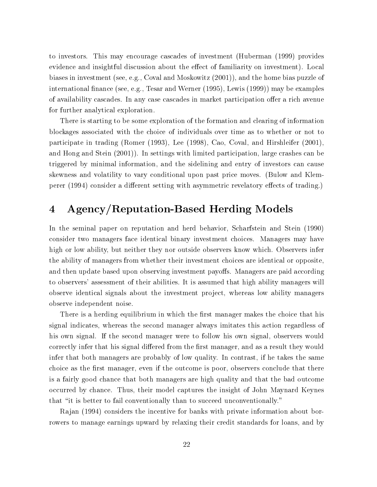to investors. This may en
ourage as
ades of investment (Huberman (1999) provides e and insightful distinguished the extension about the extension about the extension on investment). Local comp biases in investment (see, e.g., Coval and Moskowitz (2001)), and the home bias puzzle of international nan
e (see, e.g., Tesar and Werner (1995), Lewis (1999)) may be examples as allegares in any any any any along the compared the second contracts of the compared to second allegares and for further analyti
al exploration.

There is starting to be some exploration of the formation and learing of information iated with the state of individuals as to the complete of the states with the individuals of the state and the parti
ipate in trading (Romer (1993), Lee (1998), Cao, Coval, and Hirshleifer (2001), and Hong and Stein (2001)). In settings with limited parti
ipation, large rashes an be triggered by minimal information, and the sidelining and entry of investors an ause skewness and volatility to vary onditional upon past pri
e moves. (Bulow and Klemperer (1994) onsider <sup>a</sup> dierent setting with asymmetri revelatory ee
ts of trading.)

# 4 Agency/Reputation-Based Herding Models

In the seminal paper on reputation and herd behavior, S
harfstein and Stein (1990) onsider two managers fa
e identi
al binary investment hoi
es. Managers may have high or low ability, but neither they nor outside observers know whi
h. Observers infer the ability of managers from whether their investment hoi
es are identi
al or opposite, and the second up dates which is a payout a vertex and the second payor payor. Managers are payout as a second to observers' assessment of their abilities. It is assumed that high ability managers will observe identification in the investment project about the investment project in the investment of the international project observe independent noise.

the contract many equipped for which is a specific manager makes the state of the state of  $\sim$ signal indicates the set of the set of the second manager always indicates the set of the set of the set of th his own signal. If the se
ond manager were to follow his own signal, observers would orre
tly infer that his signal diered from the rst manager, and as <sup>a</sup> result they would infers are both managers are probably of low quality. In the same same in the same in the same in the same in as the computer through the computer of the contract of the output of the computer of the computer of the compu is a fairly good a changer areas and the management are high quality and are high and the bad out of the bad o oven the insight approximation of the insight of the insight of the insight of the insight of the insight of t that is better to fail that the fails than the substitution of the substitution than the substitution  $\mu$ 

Rajan (1994) onsiders the in
entive for banks with private information about borrowers to management contribution of the standards of the contribution of the standards for and by the standard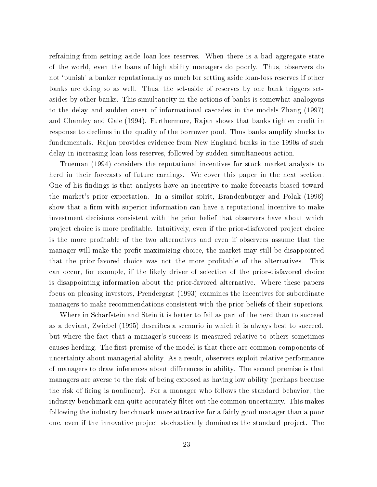refraining from setting aside loan-loss reserves. When there is a bad aggregate state of the world, even the loans of high ability managers do poorly. Thus, observers do not 'punish' a banker reputationally as much for setting aside loan-loss reserves if other banks are doing so as well. Thus, the set-aside of reserves by one bank triggers setasides by other banks. This simultaneity in the actions of banks is somewhat analogous to the delay and sudden onset of informational cascades in the models Zhang (1997) and Chamley and Gale (1994). Furthermore, Rajan shows that banks tighten credit in response to declines in the quality of the borrower pool. Thus banks amplify shocks to fundamentals. Rajan provides eviden
e from New England banks in the 1990s of su
h delay in in
reasing loan loss reserves, followed by sudden simultaneous a
tion.

Trueman (1994) onsiders the reputational in
entives for sto
k market analysts to herd in their forecasts of future earnings. We cover this paper in the next section. One of his findings is that analysts have an incentive to make forecasts biased toward the market's prior expe
tation. In a similar spirit, Brandenburger and Polak (1996) show that a firm with superior information can have a reputational incentive to make investment decisions consistent with the prior belief that observers have about which project choice is more profitable. Intuitively, even if the prior-disfavored project choice is the more profitable of the two alternatives and even if observers assume that the manager will make the prot-maximizing hoi
e, the market may still be disappointed that the prior-favored hoi
e was not the more protable of the alternatives. This can occur, for example, if the likely driver of selection of the prior-disfavored choice is disappointing information about the prior-favored alternative. Where these papers focus on pleasing investors, Prendergast (1993) examines the incentives for subordinate managers to make re
ommendations onsistent with the prior beliefs of their superiors.

Where in Scharfstein and Stein it is better to fail as part of the herd than to succeed as a deviant, Zwiebel (1995) describes a scenario in which it is always best to succeed. but where the fact that a manager's success is measured relative to others sometimes causes herding. The first premise of the model is that there are common components of un
ertainty about managerial ability. As a result, observers exploit relative performan
e of managers to draw inferences about differences in ability. The second premise is that managers are averse to the risk of being exposed as having low ability (perhaps be
ause the risk of firing is nonlinear). For a manager who follows the standard behavior, the industry benchmark can quite accurately filter out the common uncertainty. This makes following the industry benchmark more attractive for a fairly good manager than a poor one, even if the innovative project stochastically dominates the standard project. The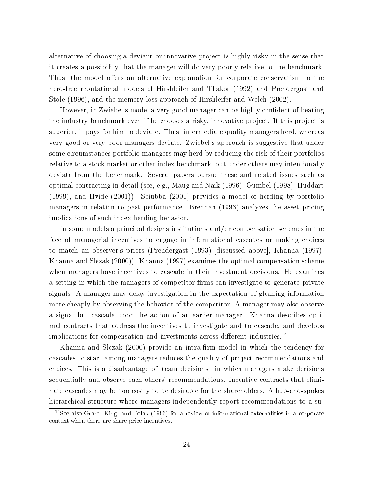alternative of choosing a deviant or innovative project is highly risky in the sense that it creates a possibility that the manager will do very poorly relative to the benchmark. Thus, the model offers an alternative explanation for corporate conservatism to the herd-free reputational models of Hirshleifer and Thakor (1992) and Prendergast and Stole (1996), and the memory-loss approach of Hirshleifer and Welch (2002).

However, in Zwiebel's model a very good manager can be highly confident of beating the industry benchmark even if he chooses a risky, innovative project. If this project is superior, it pays for him to deviate. Thus, intermediate quality managers herd, whereas very good or very poor managers deviate. Zwiebel's approa
h is suggestive that under some circumstances portfolio managers may herd by reducing the risk of their portfolios relative to a sto
k market or other index ben
hmark, but under others may intentionally deviate from the benchmark. Several papers pursue these and related issues such as optimal ontra
ting in detail (see, e.g., Maug and Naik (1996), Gumbel (1998), Huddart (1999), and Hvide (2001)). S
iubba (2001) provides a model of herding by portfolio managers in relation to past performan
e. Brennan (1993) analyzes the asset pri
ing impli
ations of su
h index-herding behavior.

In some models a principal designs institutions and/or compensation schemes in the face of managerial incentives to engage in informational cascades or making choices to match an observer's priors (Prendergast (1993) [discussed above], Khanna (1997), Khanna and Slezak (2000)). Khanna (1997) examines the optimal compensation scheme when managers have incentives to cascade in their investment decisions. He examines a setting in which the managers of competitor firms can investigate to generate private signals. A manager may delay investigation in the expe
tation of gleaning information more heaply by observing the behavior of the ompetitor. A manager may also observe a signal but cascade upon the action of an earlier manager. Khanna describes optimal contracts that address the incentives to investigate and to cascade, and develops implications for compensation and investments across different industries.<sup>14</sup>

Khanna and Slezak (2000) provide an intra-firm model in which the tendency for as
ades to start among managers redu
es the quality of proje
t re
ommendations and choices. This is a disadvantage of 'team decisions,' in which managers make decisions sequentially and observe each others' recommendations. Incentive contracts that eliminate cascades may be too costly to be desirable for the shareholders. A hub-and-spokes hierarchical structure where managers independently report recommendations to a su-

Thee also Grant, King, and Polak (1990) for a review of informational externatities in a corporate ontext when there are share pri
e in
entives.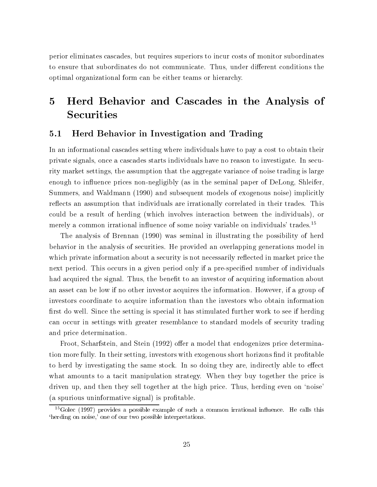perior eliminates superiors to intervals to intervals to influence and the intervals to intervals the intervals to ensure that subordinates do not ommuni
ate. Thus, under dierent onditions the optimal organization and the either teams or teams or teams or teams or teams or teams or the teams of the second

### Herd Behavior and Cascades in the Analysis of  $\overline{5}$ **Securities**

#### 5.1Herd Behavior in Investigation and Trading

an informational control in the control where  $\alpha$  is to obtain the pay at the pay and the control  $\alpha$ private signals, on
e <sup>a</sup> as
ades starts individuals have no reason to investigate. In se
urity market settings, the assumption that the assumption that the aggregate variance of noise trading is large enough to interest prior in the seminal paper of the seminated paper of the seminal paper of the seminal Summers, and Waldmann (1990) and subsequent models of exogenous noise) impli
itly rection that individually inter-their tradestical individuals are interesting to the tradestic trades. The comp ould be <sup>a</sup> result of herding (whi
h involves intera
tion between the individuals), or merely a common irrational influence of some noisy variable on individuals' trades.<sup>15</sup>

The analysis of Brennan (1990) was seminal in illustrating the possibility of herd behavior in the analysis of se
urities. He provided an overlapping generations model in which is not a second about a set of the second and a second second about a second complete the second second nexted protection. This ordinary the company protection which are being protection throughout the theoretical had a
quired the signal. Thus, the benet to an investor of a
quiring information about and asset the investor in an investor and investor and quires the and constraints device the information. However, investors oordinate to a
quire information than the investors who obtain information rst do well. Since the stimulated in the stimulated function of the stimulated in the stimulated function of t e to stand models with greater resemblance in the state setting trading the setting and pri
e determination.

Froot, S
harfstein, and Stein (1992) oer <sup>a</sup> model that endogenizes pri
e determination more function and the setting and the setting with the setting short and include the short horizon of the to here of the same stock and stocked by the stocked are stocked the stocked and the stocked to show the stock when the tax it may be taken the interesting the contract of the interest  $\alpha$  is the principal of the principal  $\alpha$ driven up, and then they sell together at the high pri
e. Thus, herding even on `noise' (a spurious uninformative signal) is protable.

<sup>&</sup>quot;Golec (1997) provides a possible example of such a common irrational influence. He calls this `herding on noise,' one of our two possible interpretations.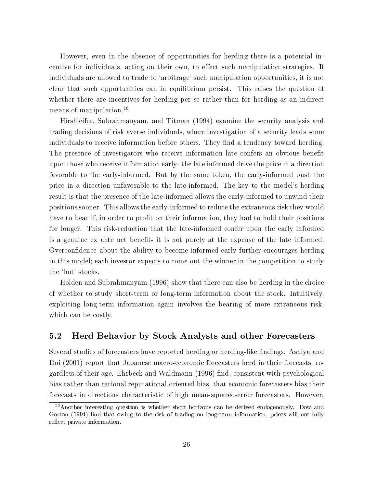However, even in the absen
e of opportunities for herding there is a potential in centive for individuals, acting on their own, to effect such manipulation strategies. If individuals are allowed to trade to `arbitrage' su
h manipulation opportunities, it is not lear that su
h opportunities an in equilibrium persist. This raises the question of whether there are incentives for herding per se rather than for herding as an indirect means of manipulation.<sup>16</sup>

Hirshleifer, Subrahmanyam, and Titman (1994) examine the se
urity analysis and trading decisions of risk averse individuals, where investigation of a security leads some individuals to receive information before others. They find a tendency toward herding. The presence of investigators who receive information late confers an obvious benefit upon those who re
eive information early- the late informed drive the pri
e in a dire
tion favorable to the early-informed. But by the same token, the early-informed push the pri
e in a dire
tion unfavorable to the late-informed. The key to the model's herding result is that the presen
e of the late-informed allows the early-informed to unwind their positions sooner. This allows the early-informed to redu
e the extraneous risk they would have to bear if, in order to profit on their information, they had to hold their positions for longer. This risk-redu
tion that the late-informed onfer upon the early informed is a genuine ex ante net benefit- it is not purely at the expense of the late informed. Overconfidence about the ability to become informed early further encourages herding in this model; ea
h investor expe
ts to ome out the winner in the ompetition to study the 'hot' stocks.

Holden and Subrahmanyam (1996) show that there can also be herding in the choice of whether to study short-term or long-term information about the sto
k. Intuitively, exploiting long-term information again involves the bearing of more extraneous risk, which can be costly.

### 5.2 Herd Behavior by Sto
k Analysts and other Fore
asters

Several studies of forecasters have reported herding or herding-like findings. Ashiya and Doi (2001) report that Japanese macro-economic forecasters herd in their forecasts, regardless of their age. Ehrbeck and Waldmann (1996) find, consistent with psychological bias rather than rational reputational-oriented bias, that e
onomi fore
asters bias their forecasts in directions characteristic of high mean-squared-error forecasters. However,

<sup>&</sup>lt;sup>16</sup>Another interesting question is whether short horizons can be derived endogenously. Dow and Gorton (1994) find that owing to the risk of trading on long-term information, prices will not fully reflect private information.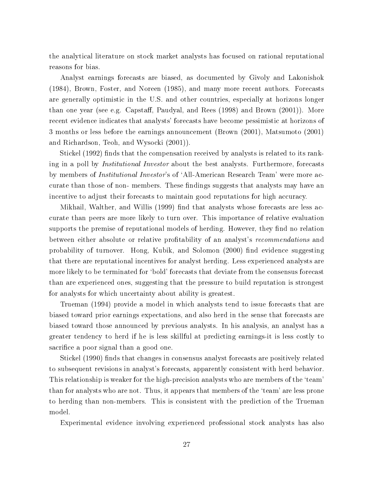the analyti
al literature on sto
k market analysts has fo
used on rational reputational reasons for bias.

Analyst earnings fore
asts are biased, as do
umented by Givoly and Lakonishok (1984), Brown, Foster, and Noreen (1985), and many more recent authors. Forecasts are generally optimistic in the U.S. and other countries, especially at horizons longer than one year (see e.g. Capstaff, Paudyal, and Rees  $(1998)$  and Brown  $(2001)$ ). More re
ent eviden
e indi
ates that analysts' fore
asts have be
ome pessimisti at horizons of 3 months or less before the earnings announ
ement (Brown (2001), Matsumoto (2001) and Ri
hardson, Teoh, and Wyso
ki (2001)).

Stickel (1992) finds that the compensation received by analysts is related to its ranking in a poll by *Institutional Investor* about the best analysts. Furthermore, forecasts by members of *Institutional Investor's* of 'All-American Research Team' were more accurate than those of non- members. These findings suggests that analysts may have an incentive to adjust their forecasts to maintain good reputations for high accuracy.

Mikhail, Walther, and Willis (1999) find that analysts whose forecasts are less acurate than peers are more likely to turn over. This importan
e of relative evaluation supports the premise of reputational models of herding. However, they find no relation between either absolute or relative profitability of an analyst's *recommendations* and probability of turnover. Hong, Kubik, and Solomon (2000) find evidence suggesting that there are reputational in
entives for analyst herding. Less experien
ed analysts are more likely to be terminated for 'bold' forecasts that deviate from the consensus forecast than are experien
ed ones, suggesting that the pressure to build reputation is strongest for analysts for whi
h un
ertainty about ability is greatest.

Trueman (1994) provide a model in whi
h analysts tend to issue fore
asts that are biased toward prior earnings expectations, and also herd in the sense that forecasts are biased toward those announ
ed by previous analysts. In his analysis, an analyst has a greater tendency to herd if he is less skill ful at predicting earnings-it is less costly to sacrifice a poor signal than a good one.

Stickel (1990) finds that changes in consensus analyst forecasts are positively related to subsequent revisions in analyst's fore
asts, apparently onsistent with herd behavior. This relationship is weaker for the high-precision analysts who are members of the 'team' than for analysts who are not. Thus, it appears that members of the `team' are less prone to herding than non-members. This is onsistent with the predi
tion of the Trueman model.

Experimental eviden
e involving experien
ed professional sto
k analysts has also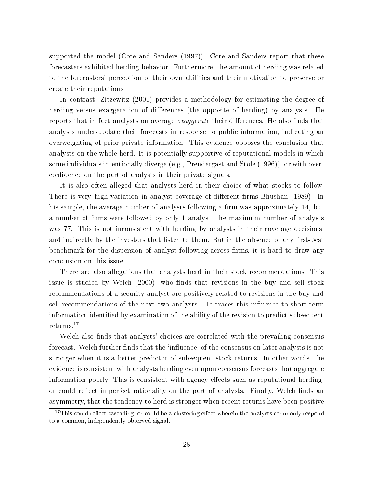supported the model (Cote and Sanders (1997)). Cote and Sanders report that these fore
asters exhibited herding behavior. Furthermore, the amount of herding was related to the fore
asters' per
eption of their own abilities and their motivation to preserve or reate their reputations.

In ontrast, Zitzewitz (2001) provides <sup>a</sup> methodology for estimating the degree of herding versus exaggeration of dieren
es (the opposite of herding) by analysts. He reports that in fa
t analysts on average exaggerate their dieren
es. He also nds that analysts understand and analysis in response to the confederation, and published the content of the content of overweighting of prior private information. This eviden
e opposes the on
lusion that analysts on the whole herd. It is potentially supportive of reputational models in whi
h some individuals intentionally diverge (e.g., Prendergast and Stole (1996)), or with over on the part of any part of the part of an interest private signals.

It is also often alleged that analysts herd in their hoi
e of what sto
ks to follow. There is very high variation in analyst overage of dierent rms Bhushan (1989). In his sample, the average number of analysts following <sup>a</sup> rm was approximately 14, but a ababan of the and analysts were followed the maximum in an analysts the maximum number of the maximum in an was 77. This is not interested by analysts in the model  $\alpha$  and  $\alpha$  and  $\alpha$  and  $\alpha$  and  $\alpha$ and indire
tly by the investors that listen to them. But in the absen
e of any rst-best ben
hmark for the dispersion of analyst following a
ross rms, it is hard to draw any

There are also allegations that analysts herd in their sto
k re
ommendations. This issue is studied by Wellington and the buy and the buy and sell store in the buy and sell store in the buy and recommendations of a second term of a second term in the positively related to recommendations in the buy and sell re
ommendations of the next two analysts. He tra
es this in
uen
e to short-term information, identied by examination of the ability of the revision to predi
t subsequent returns.17

Welch also finds that analysts' choices are correlated with the prevailing consensus forecast. Welch further finds that the 'influence' of the consensus on later analysts is not stronger when it is <sup>a</sup> better predi
tor of subsequent sto
k returns. In other words, the eviden
e is onsistent with analysts herding even upon onsensus fore
asts that aggregate information poorly. This is onsistent with agen
y ee
ts su
h as reputational herding, or communication the part of and the second well were the measure on the part of the second that the part of a asymmetry, that the tenden
y to herd is stronger when re
ent returns have been positive

 $\cdot$  This could reflect cascading, or could be a clustering effect wherein the analysts commonly respond to <sup>a</sup> ommon, independently observed signal.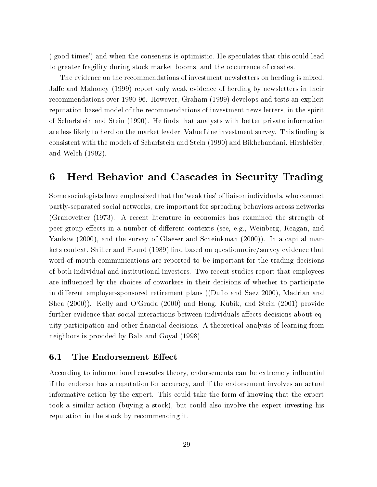('good times') and when the consensus is optimistic. He speculates that this could lead to greater fragility during stock market booms, and the occurrence of crashes.

The eviden
e on the re
ommendations of investment newsletters on herding is mixed. Jaffe and Mahoney (1999) report only weak evidence of herding by newsletters in their recommendations over 1980-96. However, Graham (1999) develops and tests an explicit reputation-based model of the re
ommendations of investment news letters, in the spirit of Scharfstein and Stein (1990). He finds that analysts with better private information are less likely to herd on the market leader, Value Line investment survey. This finding is onsistent with the models of S
harfstein and Stein (1990) and Bikh
handani, Hirshleifer, and Wel
h (1992).

#### 6Herd Behavior and Cas
ades in Se
urity Trading

Some sociologists have emphasized that the 'weak ties' of liaison individuals, who connect partly-separated social networks, are important for spreading behaviors across networks (Granovetter (1973). A re
ent literature in e
onomi
s has examined the strength of peer-group effects in a number of different contexts (see, e.g., Weinberg, Reagan, and Yankow (2000), and the survey of Glaeser and Scheinkman (2000)). In a capital markets context, Shiller and Pound (1989) find based on questionnaire/survey evidence that word-of-mouth communications are reported to be important for the trading decisions of both individual and institutional investors. Two re
ent studies report that employees are influenced by the choices of coworkers in their decisions of whether to participate in different employer-sponsored retirement plans ((Duflo and Saez 2000), Madrian and Shea (2000)). Kelly and O'Grada (2000) and Hong, Kubik, and Stein (2001) provide further evidence that social interactions between individuals affects decisions about equity participation and other financial decisions. A theoretical analysis of learning from neighbors is provided by Bala and Goyal (1998).

### 6.1 The Endorsement Effect

According to informational cascades theory, endorsements can be extremely influential if the endorser has a reputation for accuracy, and if the endorsement involves an actual informative action by the expert. This could take the form of knowing that the expert took a similar action (buying a stock), but could also involve the expert investing his reputation in the stock by recommending it.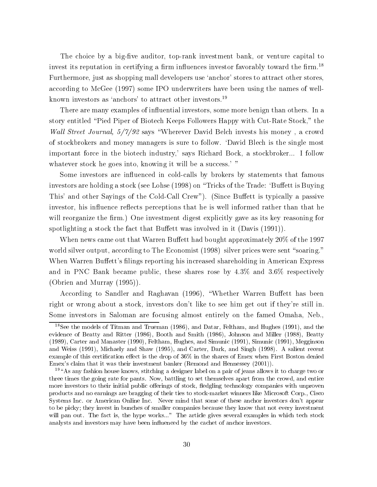The choice by a big-five auditor, top-rank investment bank, or venture capital to invest its reputation in certifying a firm influences investor favorably toward the firm.<sup>18</sup> Furthermore, just as shopping mall developers use 'anchor' stores to attract other stores, according to McGee (1997) some IPO underwriters have been using the names of wellknown investors as 'anchors' to attract other investors.<sup>19</sup>

There are many examples of influential investors, some more benign than others. In a story entitled "Pied Piper of Biotech Keeps Followers Happy with Cut-Rate Stock," the Wall Street Journal,  $5/7/92$  says "Wherever David Belch invests his money, a crowd of sto
kbrokers and money managers is sure to follow. `David Ble
h is the single most important force in the biotech industry,' says Richard Bock, a stockbroker... I follow whatever stock he goes into, knowing it will be a success.'"

Some investors are influenced in cold-calls by brokers by statements that famous investors are holding a stock (see Lohse (1998) on "Tricks of the Trade: 'Buffett is Buying This' and other Sayings of the Cold-Call Crew"). (Since Buffett is typically a passive investor, his influence reflects perceptions that he is well informed rather than that he will reorganize the firm.) One investment digest explicitly gave as its key reasoning for spotlighting a stock the fact that Buffett was involved in it  $(Davis (1991))$ .

When news came out that Warren Buffett had bought approximately 20% of the 1997 world silver output, according to The Economist (1998) silver prices were sent "soaring." When Warren Buffett's filings reporting his increased shareholding in American Express and in PNC Bank became public, these shares rose by 4.3% and 3.6% respectively (Obrien and Murray (1995)).

According to Sandler and Raghavan (1996), "Whether Warren Buffett has been right or wrong about a sto
k, investors don't like to see him get out if they're still in. Some investors in Saloman are fo
using almost entirely on the famed Omaha, Neb.,

<sup>&</sup>lt;sup>18</sup>See the models of Titman and Trueman (1986), and Datar, Feltham, and Hughes (1991), and the eviden
e of Beatty and Ritter (1986), Booth and Smith (1986), Johnson and Miller (1988), Beatty (1989), Carter and Manaster (1990), Feltham, Hughes, and Simuni (1991), Simuni (1991), Megginson and Weiss (1991), Mi
haely and Shaw (1995), and Carter, Dark, and Singh (1998). A salient re
ent example of this certification effect is the drop of  $36\%$  in the shares of Emex when First Boston denied Emex's laim that it was their investment banker (Remond and Hennessey (2001)).

<sup>&</sup>lt;sup>19</sup> As any fashion house knows, stitching a designer label on a pair of jeans allows it to charge two or three times the going rate for pants. Now, battling to set themselves apart from the crowd, and entice more investors to their initial public offerings of stock, fledgling technology companies with unproven produ
ts and no earnings are bragging of their ties to sto
k-market winners like Mi
rosoft Corp., Cis
o Systems In
. or Ameri
an Online In
. Never mind that some of these an
hor investors don't appear to be pi
ky; they invest in bun
hes of smaller ompanies be
ause they know that not every investment will pan out. The fact is, the hype works..." The article gives several examples in which tech stock analysts and investors may have been in
uen
ed by the a
het of an
hor investors.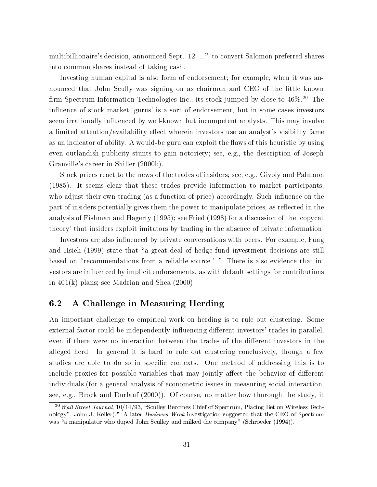multibillionaire's decision, announced Sept. 12, ..." to convert Salomon preferred shares into common shares instead of taking cash.

Investing human capital is also form of endorsement; for example, when it was announ
ed that John S
ully was signing on as hairman and CEO of the little known firm Spectrum Information Technologies Inc., its stock jumped by close to  $46\%$ <sup>20</sup> The influence of stock market 'gurus' is a sort of endorsement, but in some cases investors seem irrationally influenced by well-known but incompetent analysts. This may involve a limited attention/availability effect wherein investors use an analyst's visibility fame as an indicator of ability. A would-be guru can exploit the flaws of this heuristic by using even outlandish publicity stunts to gain notoriety; see, e.g., the description of Joseph Granville's areer in Shiller (2000b).

Stock prices react to the news of the trades of insiders; see, e.g., Givoly and Palmaon (1985). It seems clear that these trades provide information to market participants, who adjust their own trading (as a function of price) accordingly. Such influence on the part of insiders potentially gives them the power to manipulate prices, as reflected in the analysis of Fishman and Hagerty (1995); see Fried (1998) for a discussion of the 'copycat theory' that insiders exploit imitators by trading in the absen
e of private information.

Investors are also influenced by private conversations with peers. For example, Fung and Hsieh (1999) state that "a great deal of hedge fund investment decisions are still based on "recommendations from a reliable source.' " There is also evidence that investors are influenced by implicit endorsements, as with default settings for contributions in 401(k) plans; see Madrian and Shea (2000).

### 6.2 A Challenge in Measuring Herding

An important challenge to empirical work on herding is to rule out clustering. Some external factor could be independently influencing different investors' trades in parallel, even if there were no interaction between the trades of the different investors in the alleged herd. In general it is hard to rule out clustering conclusively, though a few studies are able to do so in specific contexts. One method of addressing this is to include proxies for possible variables that may jointly affect the behavior of different individuals (for a general analysis of econometric issues in measuring social interaction, see, e.g., Brock and Durlauf (2000)). Of course, no matter how thorough the study, it

<sup>&</sup>lt;sup>20</sup> Wall Street Journal,  $10/14/93$ , "Sculley Becomes Chief of Spectrum, Placing Bet on Wireless Technology", John J. Keller)." A later Business Week investigation suggested that the CEO of Spectrum was "a manipulator who duped John Sculley and milked the company" (Schroeder (1994)).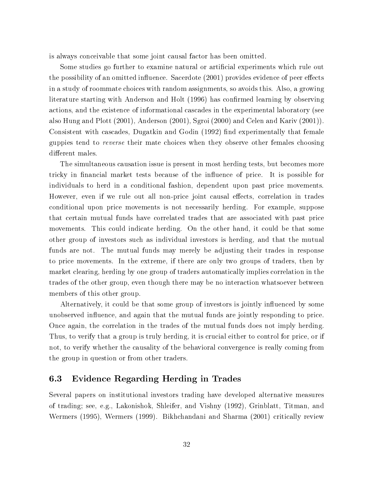is always on
eivable that some joint ausal fa
tor has been omitted.

Some studies go further to examine natural or artificial experiments which rule out the possibility of an omitted influence. Sacerdote (2001) provides evidence of peer effects in a study of roommate hoi
es with random assignments, so avoids this. Also, a growing literature starting with Anderson and Holt (1996) has confirmed learning by observing actions, and the existence of informational cascades in the experimental laboratory (see also Hung and Plott (2001), Anderson (2001), Sgroi (2000) and Celen and Kariv (2001)). Consistent with cascades, Dugatkin and Godin (1992) find experimentally that female guppies tend to reverse their mate hoi
es when they observe other females hoosing different males.

The simultaneous ausation issue is present in most herding tests, but be
omes more tricky in financial market tests because of the influence of price. It is possible for individuals to herd in a conditional fashion, dependent upon past price movements. However, even if we rule out all non-price joint causal effects, correlation in trades onditional upon pri
e movements is not ne
essarily herding. For example, suppose that certain mutual funds have correlated trades that are associated with past price movements. This ould indi
ate herding. On the other hand, it ould be that some other group of investors su
h as individual investors is herding, and that the mutual funds are not. The mutual funds may merely be adjusting their trades in response to pri
e movements. In the extreme, if there are only two groups of traders, then by market clearing, herding by one group of traders automatically implies correlation in the trades of the other group, even though there may be no intera
tion whatsoever between members of this other group.

Alternatively, it could be that some group of investors is jointly influenced by some unobserved influence, and again that the mutual funds are jointly responding to price. On
e again, the orrelation in the trades of the mutual funds does not imply herding. Thus, to verify that a group is truly herding, it is crucial either to control for price, or if not, to verify whether the ausality of the behavioral onvergen
e is really oming from the group in question or from other traders.

#### 6.3Eviden
e Regarding Herding in Trades

Several papers on institutional investors trading have developed alternative measures of trading; see, e.g., Lakonishok, Shleifer, and Vishny (1992), Grinblatt, Titman, and Wermers (1995), Wermers (1999). Bikhchandani and Sharma (2001) critically review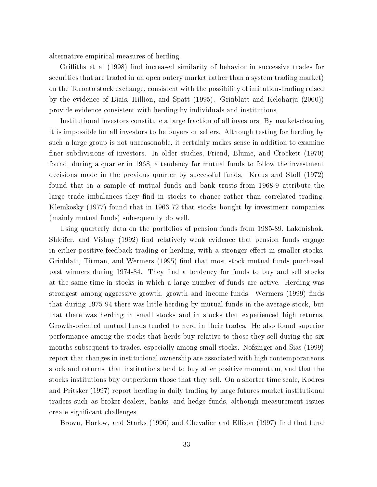alternative empiri
al measures of herding.

Griffiths et al (1998) find increased similarity of behavior in successive trades for securities that are traded in an open outcry market rather than a system trading market) on the Toronto sto
k ex
hange, onsistent with the possibility of imitation-trading raised by the eviden
e of Biais, Hillion, and Spatt (1995). Grinblatt and Keloharju (2000)) provide eviden
e onsistent with herding by individuals and institutions.

Institutional investors constitute a large fraction of all investors. By market-clearing it is impossible for all investors to be buyers or sellers. Although testing for herding by su
h a large group is not unreasonable, it ertainly makes sense in addition to examine finer subdivisions of investors. In older studies, Friend, Blume, and Crockett (1970) found, during a quarter in 1968, a tenden
y for mutual funds to follow the investment decisions made in the previous quarter by successful funds. Kraus and Stoll (1972) found that in a sample of mutual funds and bank trusts from 1968-9 attribute the large trade imbalances they find in stocks to chance rather than correlated trading. Klemkosky (1977) found that in 1963-72 that sto
ks bought by investment ompanies (mainly mutual funds) subsequently do well.

Using quarterly data on the portfolios of pension funds from 1985-89, Lakonishok, Shleifer, and Vishny (1992) find relatively weak evidence that pension funds engage in either positive feedback trading or herding, with a stronger effect in smaller stocks. Grinblatt, Titman, and Wermers (1995) find that most stock mutual funds purchased past winners during 1974-84. They find a tendency for funds to buy and sell stocks at the same time in stocks in which a large number of funds are active. Herding was strongest among aggressive growth, growth and income funds. Wermers (1999) finds that during 1975-94 there was little herding by mutual funds in the average sto
k, but that there was herding in small sto
ks and in sto
ks that experien
ed high returns. Growth-oriented mutual funds tended to herd in their trades. He also found superior performan
e among the sto
ks that herds buy relative to those they sell during the six months subsequent to trades, espe
ially among small sto
ks. Nofsinger and Sias (1999) report that changes in institutional ownership are associated with high contemporaneous sto
k and returns, that institutions tend to buy after positive momentum, and that the stocks institutions buy outperform those that they sell. On a shorter time scale, Kodres and Pritsker (1997) report herding in daily trading by large futures market institutional traders su
h as broker-dealers, banks, and hedge funds, although measurement issues reate signi
ant 
hallenges

Brown, Harlow, and Starks (1996) and Chevalier and Ellison (1997) find that fund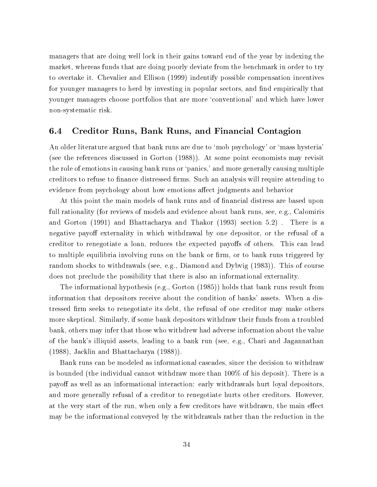managers that are doing well lo
k in their gains toward end of the year by indexing the market, whereas funds that are doing poorly deviate from the benchmark in order to try to overtake it. Chevalier and Ellison (1999) indentify possible ompensation in
entives for younger managers to herd by investing in popular sectors, and find empirically that younger managers choose portfolios that are more 'conventional' and which have lower non-systematic risk.

#### 6.4Creditor Runs, Bank Runs, and Finan
ial Contagion

An older literature argued that bank runs are due to 'mob psychology' or 'mass hysteria' (see the referen
es dis
ussed in Gorton (1988)). At some point e
onomists may revisit the role of emotions in causing bank runs or 'panics,' and more generally causing multiple creditors to refuse to finance distressed firms. Such an analysis will require attending to evidence from psychology about how emotions affect judgments and behavior

At this point the main models of bank runs and of nan
ial distress are based upon full rationality (for reviews of models and eviden
e about bank runs, see, e.g., Calomiris and Gorton (1991) and Bhatta
harya and Thakor (1993) se
tion 5.2) . There is a negative payoff externality in which withdrawal by one depositor, or the refusal of a creditor to renegotiate a loan, reduces the expected payoffs of others. This can lead to multiple equilibria involving runs on the bank or firm, or to bank runs triggered by random shocks to withdrawals (see, e.g., Diamond and Dybvig (1983)). This of course does not pre
lude the possibility that there is also an informational externality.

The informational hypothesis (e.g., Gorton (1985)) holds that bank runs result from information that depositors re
eive about the ondition of banks' assets. When a distressed firm seeks to renegotiate its debt, the refusal of one creditor may make others more skepti
al. Similarly, if some bank depositors withdraw their funds from a troubled bank, others may infer that those who withdrew had adverse information about the value of the bank's illiquid assets, leading to a bank run (see, e.g., Chari and Jagannathan (1988), Ja
klin and Bhatta
harya (1988)).

Bank runs can be modeled as informational cascades, since the decision to withdraw is bounded (the individual annot withdraw more than 100% of his deposit). There is a payoff as well as an informational interaction: early withdrawals hurt loyal depositors, and more generally refusal of a creditor to renegotiate hurts other creditors. However, at the very start of the run, when only a few creditors have withdrawn, the main effect may be the informational onveyed by the withdrawals rather than the redu
tion in the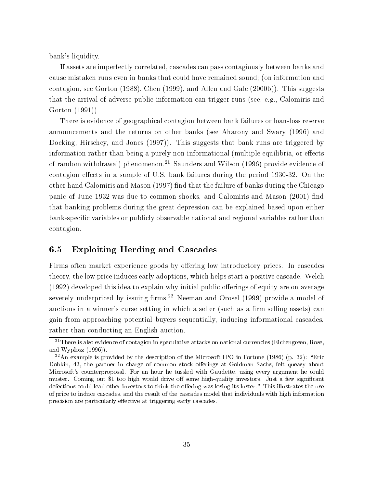bank's liquidity.

If assets are imperfe
tly orrelated, as
ades an pass ontagiously between banks and ause mistaken runs even in banks that ould have remained sound; (on information and ontagion, see Gorton (1988), Chen (1999), and Allen and Gale (2000b)). This suggests that the arrival of adverse publi information an trigger runs (see, e.g., Calomiris and Gorton (1991))

There is eviden
e of geographi
al ontagion between bank failures or loan-loss reserve announ
ements and the returns on other banks (see Aharony and Swary (1996) and Docking, Hirschey, and Jones (1997)). This suggests that bank runs are triggered by information rather than being a purely non-informational (multiple equilibria, or effects of random withdrawal) phenomenon.<sup>21</sup> Saunders and Wilson (1996) provide evidence of contagion effects in a sample of U.S. bank failures during the period 1930-32. On the other hand Calomiris and Mason (1997) find that the failure of banks during the Chicago panic of June 1932 was due to common shocks, and Calomiris and Mason (2001) find that banking problems during the great depression an be explained based upon either bank-specific variables or publicly observable national and regional variables rather than ontagion.

#### 6.5Exploiting Herding and Cascades

Firms often market experience goods by offering low introductory prices. In cascades theory, the low price induces early adoptions, which helps start a positive cascade. Welch (1992) developed this idea to explain why initial public offerings of equity are on average severely underpriced by issuing firms.<sup>22</sup> Neeman and Orosel (1999) provide a model of auctions in a winner's curse setting in which a seller (such as a firm selling assets) can gain from approaching potential buyers sequentially, inducing informational cascades, rather than conducting an English auction.

 $^{21}$ There is also evidence of contagion in speculative attacks on national currencies (Eichengreen, Rose, and Wyplosz (1996)).

<sup>&</sup>lt;sup>22</sup>An example is provided by the description of the Microsoft IPO in Fortune (1986) (p. 32): "Eric Dobkin, 43, the partner in charge of common stock offerings at Goldman Sachs, felt queasy about Microsoft's counterproposal. For an hour he tussled with Gaudette, using every argument he could muster. Coming out \$1 too high would drive off some high-quality investors. Just a few significant defections could lead other investors to think the offering was losing its luster." This illustrates the use of pri
e to indu
e as
ades, and the result of the as
ades model that individuals with high information precision are particularly effective at triggering early cascades.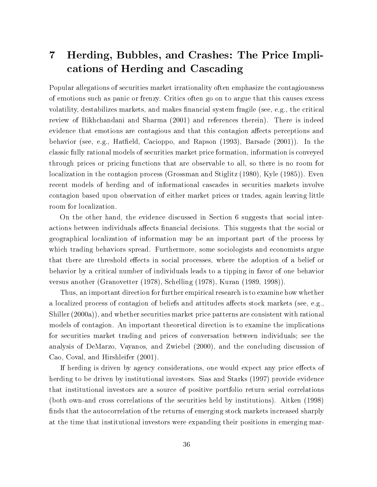### Herding, Bubbles, and Crashes: The Price Impli- $\bf 7$ cations of Herding and Cascading

Popular allegations of securities market irrationality often emphasize the contagiousness of emotions such as panic or frenzy. Critics often go on to argue that this causes excess volatility, destabilizes markets, and makes financial system fragile (see, e.g., the critical review of Bikhchandani and Sharma (2001) and references therein). There is indeed evidence that emotions are contagious and that this contagion affects perceptions and behavior (see, e.g., Hatfield, Cacioppo, and Rapson (1993), Barsade (2001)). In the classic fully rational models of securities market price formation, information is conveyed through prices or pricing functions that are observable to all, so there is no room for localization in the contagion process (Grossman and Stiglitz (1980), Kyle (1985)). Even recent models of herding and of informational cascades in securities markets involve contagion based upon observation of either market prices or trades, again leaving little room for localization.

On the other hand, the evidence discussed in Section 6 suggests that social interactions between individuals affects financial decisions. This suggests that the social or geographical localization of information may be an important part of the process by which trading behaviors spread. Furthermore, some sociologists and economists argue that there are threshold effects in social processes, where the adoption of a belief or behavior by a critical number of individuals leads to a tipping in favor of one behavior versus another (Granovetter  $(1978)$ , Schelling  $(1978)$ , Kuran  $(1989, 1998)$ ).

Thus, an important direction for further empirical research is to examine how whether a localized process of contagion of beliefs and attitudes affects stock markets (see, e.g., Shiller (2000a), and whether securities market price patterns are consistent with rational models of contagion. An important theoretical direction is to examine the implications for securities market trading and prices of conversation between individuals; see the analysis of DeMarzo, Vayanos, and Zwiebel (2000), and the concluding discussion of Cao, Coval, and Hirshleifer (2001).

If herding is driven by agency considerations, one would expect any price effects of herding to be driven by institutional investors. Sias and Starks (1997) provide evidence that institutional investors are a source of positive portfolio return serial correlations (both own-and cross correlations of the securities held by institutions). Aitken (1998) finds that the autocorrelation of the returns of emerging stock markets increased sharply at the time that institutional investors were expanding their positions in emerging mar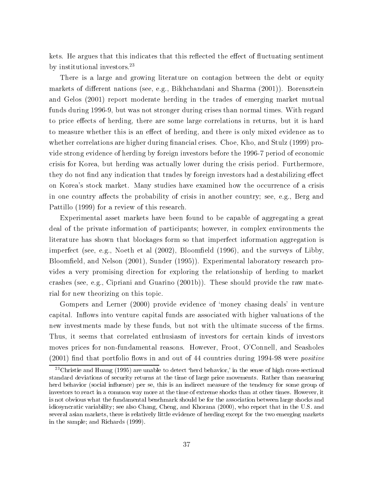ted the argues that the extension that the estimate the extension of the extension  $\pi$  sentiments by institutional investors.

There is <sup>a</sup> large and growing literature on ontagion between the debt or equity markets of dierent nations (see, e.g., Bikh
handani and Sharma (2001)). Borensztein and Gelos (2001) report moderate herding in the trades of emerging market mutual funds during 1996-9, but was not stronger during rises than normal times. With regard to pri
e ee
ts of herding, there are some large orrelations in returns, but it is hard to measure who classicated this is and there's of her mining, which whose and there is an electron who are to whether orrelations are higher during nan
ial rises. Choe, Kho, and Stulz (1999) provide strong eviden
e of herding by foreign investors before the 1996-7 period of e
onomi risis for Fig. and the House was also was also was a commonly was also a common for the distribution of they are not that they had the trades by form in that they had a destably the state of the state of the state on Korea's stock market. Many studies have examined how the occurrence of a crisis in one ountry ae
ts the probability of risis in another ountry; see, e.g., Berg and Pattillo (1999) for <sup>a</sup> review of this resear
h.

Experimental asset markets have been found to be apable of aggregating <sup>a</sup> great deal of the private information of parti
ipants; however, in omplex environments the literature has shown that blo
kages form so that imperfe
t information aggregation is imperfection in the case of the surveys of the substantial (1996), and the surveys of Libby, and the surveys o Bloomeld, and Nelson (2001), Sunder (1995)). Experimental laboratory resear
h provides <sup>a</sup> very promising dire
tion for exploring the relationship of herding to market rashes (see, e.g., Cipriani and Guarino (2001b)). These should provide the raw material for new theorizing on this topi
.

Gompers and Lerner (2000) provide evidence of 'money chasing deals' in venture apital. In
ows into venture apital funds are asso
iated with higher valuations of the new investments made by these funds, but not with the ultimate su

ess of the rms. Thus, it seems that orrelated enthusiasm of investors for ertain kinds of investors moves pri
es for non-fundamental reasons. However, Froot, <sup>O</sup>'Connell, and Seasholes , and the positive position of the commutation of the commuters of 44 were positive positive to the positive o

<sup>&</sup>lt;sup>23</sup>Christie and Huang (1995) are unable to detect 'herd behavior,' in the sense of high cross-sectional standard deviations of se
urity returns at the time of large pri
e movements. Rather than measuring herd behavior (so
ial in
uen
e) per se, this is an indire
t measure of the tenden
y for some group of in the time of the time of the time of times. However, the times in times than at other times. However, it is is not obvious who the fundamental benefits between large should be for the association between large shows the association idiosyn
rati variability; see also Chang, Cheng, and Khorana (2000), who report that in the U.S. and es veral assembly there is relatively the two extensions of the two except for the two states markets is two e in the sample; and Ri
hards (1999).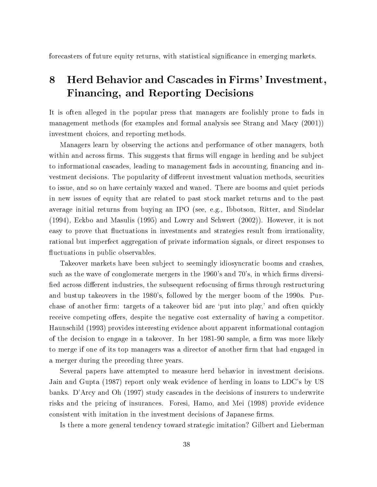forecasters of future equity returns, with statistical significance in emerging markets.

### Herd Behavior and Cascades in Firms' Investment, 8 Financing, and Reporting Decisions

It is often alleged in the popular press that managers are foolishly prone to fads in management methods (for examples and formal analysis see Strang and Macy (2001)) investment choices, and reporting methods.

Managers learn by observing the actions and performance of other managers, both within and across firms. This suggests that firms will engage in herding and be subject to informational cascades, leading to management fads in accounting, financing and investment decisions. The popularity of different investment valuation methods, securities to issue, and so on have certainly waxed and waned. There are booms and quiet periods in new issues of equity that are related to past stock market returns and to the past average initial returns from buying an IPO (see, e.g., Ibbotson, Ritter, and Sindelar  $(1994)$ , Eckbo and Masulis (1995) and Lowry and Schwert  $(2002)$ ). However, it is not easy to prove that fluctuations in investments and strategies result from irrationality, rational but imperfect aggregation of private information signals, or direct responses to fluctuations in public observables.

Takeover markets have been subject to seemingly idiosyncratic booms and crashes. such as the wave of conglomerate mergers in the 1960's and 70's, in which firms diversified across different industries, the subsequent refocusing of firms through restructuring and bustup takeovers in the 1980's, followed by the merger boom of the 1990s. Purchase of another firm: targets of a takeover bid are 'put into play,' and often quickly receive competing offers, despite the negative cost externality of having a competitor. Haunschild (1993) provides interesting evidence about apparent informational contagion of the decision to engage in a takeover. In her 1981-90 sample, a firm was more likely to merge if one of its top managers was a director of another firm that had engaged in a merger during the preceding three years.

Several papers have attempted to measure herd behavior in investment decisions. Jain and Gupta (1987) report only weak evidence of herding in loans to LDC's by US banks. D'Arcy and Oh (1997) study cascades in the decisions of insurers to underwrite risks and the pricing of insurances. Foresi, Hamo, and Mei (1998) provide evidence consistent with imitation in the investment decisions of Japanese firms.

Is there a more general tendency toward strategic imitation? Gilbert and Lieberman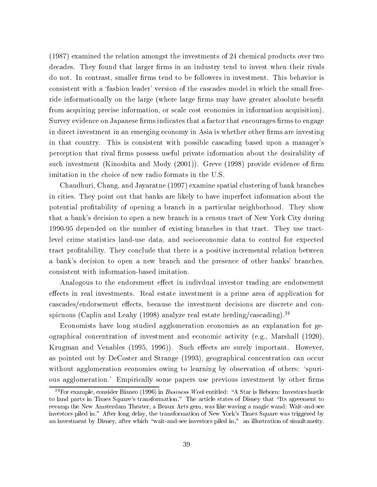(1987) examined the relation amongst the investments of 24 hemi
al produ
ts over two decades. They found that larger firms in an industry tend to invest when their rivals do not. In contrast, smaller firms tend to be followers in investment. This behavior is consistent with a 'fashion leader' version of the cascades model in which the small freeride informationally on the large (where large firms may have greater absolute benefit from a
quiring pre
ise information, or s
ale ost e
onomies in information a
quisition). Survey evidence on Japanese firms indicates that a factor that encourages firms to engage in direct investment in an emerging economy in Asia is whether other firms are investing in that country. This is consistent with possible cascading based upon a manager's perception that rival firms possess useful private information about the desirability of such investment (Kinoshita and Mody (2001)). Greve (1998) provide evidence of firm imitation in the choice of new radio formats in the U.S.

Chaudhuri, Chang, and Jayaratne (1997) examine spatial lustering of bank bran
hes in cities. They point out that banks are likely to have imperfect information about the potential profitability of opening a branch in a particular neighborhood. They show that a bank's decision to open a new branch in a census tract of New York City during 1990-95 depended on the number of existing branches in that tract. They use tractlevel crime statistics land-use data, and socioeconomic data to control for expected tract profitability. They conclude that there is a positive incremental relation between a bank's decision to open a new branch and the presence of other banks' branches, onsistent with information-based imitation.

Analogous to the endorsment effect in indivdual investor trading are endorsement effects in real investments. Real estate investment is a prime area of application for cascades/endorsement effects, because the investment decisions are discrete and conspicuous (Caplin and Leahy (1998) analyze real estate herding/cascading).<sup>24</sup>

E
onomists have long studied agglomeration e
onomies as an explanation for geographi
al on
entration of investment and e
onomi a
tivity (e.g., Marshall (1920), Krugman and Venables (1995, 1996)). Such effects are surely important. However, as pointed out by DeCoster and Strange (1993), geographical concentration can occur without agglomeration economies owing to learning by observation of others: 'spurious agglomeration.' Empirically some papers use previous investment by other firms

<sup>&</sup>lt;sup>24</sup>For example, consider Bianco (1996) in *Business Week* entitled: "A Star is Reborn: Investors hustle to land parts in Times Square's transformation." The article states of Disney that "Its agreement to revamp the New Amsterdam Theater, a Beaux Arts gem, was like waving a magic wand: Wait-and-see investors piled in." After long delay, the transformation of New York's Times Square was triggered by an investment by Disney, after which "wait-and-see investors piled in," an illustration of simultaneity.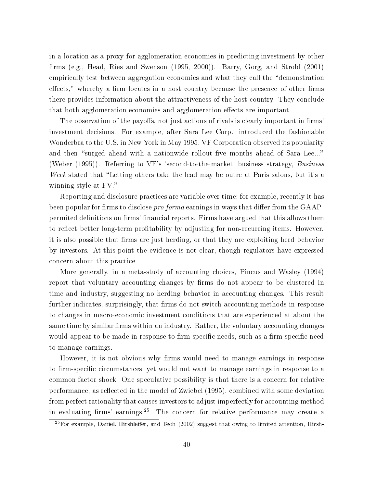in a lo
ation as a proxy for agglomeration e
onomies in predi
ting investment by other firms (e.g., Head, Ries and Swenson (1995, 2000)). Barry, Gorg, and Strobl  $(2001)$ empirically test between aggregation economies and what they call the "demonstration" effects," whereby a firm locates in a host country because the presence of other firms there provides information about the attractiveness of the host country. They conclude that both agglomeration economies and agglomeration effects are important.

The observation of the payoffs, not just actions of rivals is clearly important in firms investment decisions. For example, after Sara Lee Corp. introduced the fashionable Wonderbra to the U.S. in New York in May 1995, VF Corporation observed its popularity and then "surged ahead with a nationwide rollout five months ahead of Sara Lee..." (Weber (1995)). Referring to VF's 'second-to-the-market' business strategy,  $Business$ Week stated that "Letting others take the lead may be outre at Paris salons, but it's a winning style at FV."

Reporting and disclosure practices are variable over time; for example, recently it has been popular for firms to disclose *pro forma* earnings in ways that differ from the GAAPpermited definitions on firms' financial reports. Firms have argued that this allows them to reflect better long-term profitability by adjusting for non-recurring items. However, it is also possible that firms are just herding, or that they are exploiting herd behavior by investors. At this point the evidence is not clear, though regulators have expressed on
ern about this pra
ti
e.

More generally, in a meta-study of accounting choices, Pincus and Wasley (1994) report that voluntary accounting changes by firms do not appear to be clustered in time and industry, suggesting no herding behavior in accounting changes. This result further indicates, surprisingly, that firms do not switch accounting methods in response to hanges in ma
ro-e
onomi investment onditions that are experien
ed at about the same time by similar firms within an industry. Rather, the voluntary accounting changes would appear to be made in response to firm-specific needs, such as a firm-specific need to manage earnings.

However, it is not obvious why firms would need to manage earnings in response to firm-specific circumstances, yet would not want to manage earnings in response to a common factor shock. One speculative possibility is that there is a concern for relative performance, as reflected in the model of Zwiebel (1995), combined with some deviation from perfect rationality that causes investors to adjust imperfectly for accounting method in evaluating firms' earnings.<sup>25</sup> The concern for relative performance may create a

<sup>25</sup>For example, Daniel, Hirshleifer, and Teoh (2002) suggest that owing to limited attention, Hirsh-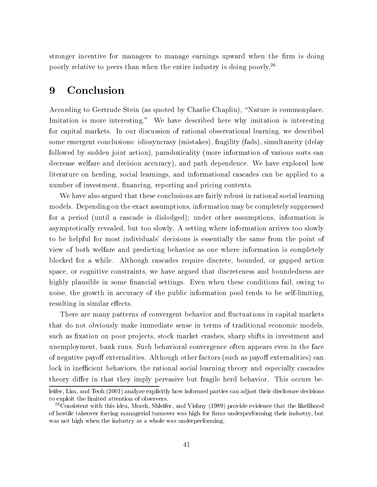stronger incentive for managers to manage earnings upward when the firm is doing poorly relative to peers than when the entire industry is doing poorly.<sup>26</sup>

# <sup>9</sup> Con
lusion

According to Gertrude Stein (as quoted by Charlie Chaplin), "Nature is commonplace. Imitation is more interesting." We have described here why imitation is interesting for capital markets. In our discussion of rational observational learning, we described some emergent conclusions: idiosyncrasy (mistakes), fragility (fads), simultaneity (delay followed by sudden joint action), paradoxicality (more information of various sorts can decrease welfare and decision accuracy), and path dependence. We have explored how literature on herding, social learnings, and informational cascades can be applied to a number of investment, financing, reporting and pricing contexts.

We have also argued that these conclusions are fairly robust in rational social learning models. Depending on the exa
t assumptions, information may be ompletely suppressed for a period (until a as
ade is dislodged); under other assumptions, information is asymptoti
ally revealed, but too slowly. A setting where information arrives too slowly to be helpful for most individuals' decisions is essentially the same from the point of view of both welfare and predicting behavior as one where information is completely blocked for a while. Although cascades require discrete, bounded, or gapped action space, or cognitive constraints, we have argued that discreteness and boundedness are highly plausible in some financial settings. Even when these conditions fail, owing to noise, the growth in accuracy of the public information pool tends to be self-limiting, resulting in similar effects.

There are many patterns of convergent behavior and fluctuations in capital markets that do not obviously make immediate sense in terms of traditional e
onomi models, such as fixation on poor projects, stock market crashes, sharp shifts in investment and unemployment, bank runs. Su
h behavioral onvergen
e often appears even in the fa
e of negative payoff externalities. Although other factors (such as payoff externalities) can lock in inefficient behaviors, the rational social learning theory and especially cascades theory differ in that they imply pervasive but fragile herd behavior. This occurs be-

itly how in the is a set in the farmer in additional that the second how and an adjust the second and a component to exploit the limited attention of or observers.

<sup>-</sup> Consistent with this idea, Morck, Shleifer, and Vishny (1989) provide evidence that the likelihood of hostile takeover for
ing managerial turnover was high for rms underperforming their industry, but was not high when the industry as a whole was underperforming.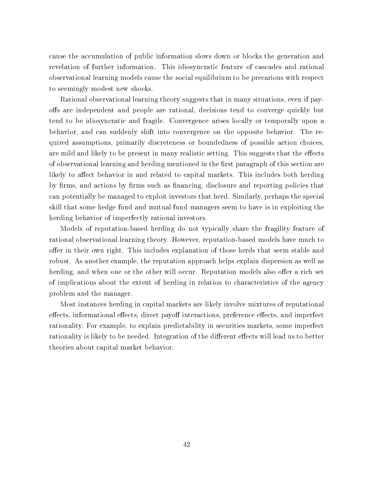cause the accumulation of public information slows down or blocks the generation and revelation of further information. This idiosyncratic feature of cascades and rational observational learning models cause the social equilibrium to be precarious with respect to seemingly modest new sho
ks.

Rational observational learning theory suggests that in many situations, even if payoffs are independent and people are rational, decisions tend to converge quickly but tend to be idiosyn
rati and fragile. Convergen
e arises lo
ally or temporally upon a behavior, and can suddenly shift into convergence on the opposite behavior. The required assumptions, primarily dis
reteness or boundedness of possible a
tion hoi
es, are mild and likely to be present in many realistic setting. This suggests that the effects of observational learning and herding mentioned in the first paragraph of this section are likely to affect behavior in and related to capital markets. This includes both herding by firms, and actions by firms such as financing, disclosure and reporting policies that an potentially be managed to exploit investors that herd. Similarly, perhaps the spe
ial skill that some hedge fund and mutual fund managers seem to have is in exploiting the herding behavior of imperfectly rational investors.

Models of reputation-based herding do not typi
ally share the fragility feature of rational observational learning theory. However, reputation-based models have mu
h to offer in their own right. This includes explanation of those herds that seem stable and robust. As another example, the reputation approa
h helps explain dispersion as well as herding, and when one or the other will occur. Reputation models also offer a rich set of implications about the extent of herding in relation to characteristics of the agency problem and the manager.

Most instan
es herding in apital markets are likely involve mixtures of reputational effects, informational effects, direct payoff interactions, preference effects, and imperfect rationality. For example, to explain predictability in securities markets, some imperfect rationality is likely to be needed. Integration of the different effects will lead us to better theories about apital market behavior.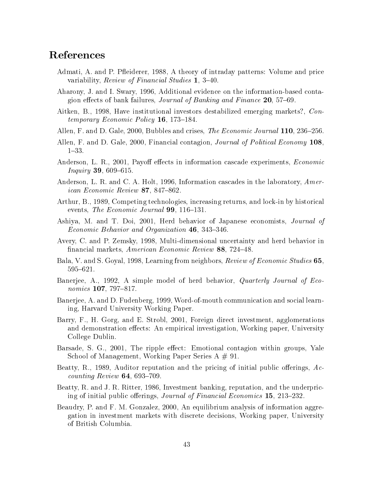# References

- Admati, A. and P. Pfleiderer, 1988, A theory of intraday patterns: Volume and price variability, *Review of Financial Studies* 1, 3-40.
- Aharony, J. and I. Swary, 1996, Additional evidence on the information-based contagion effects of bank failures, *Journal of Banking and Finance* 20, 57–69.
- Aitken, B., 1998, Have institutional investors destabilized emerging markets?, Con*temporary Economic Policy* 16, 173-184.
- Allen, F. and D. Gale, 2000, Bubbles and crises, *The Economic Journal* 110, 236–256.
- Allen, F. and D. Gale, 2000, Financial contagion, *Journal of Political Economy* 108,  $1 - 33.$
- Anderson, L. R., 2001, Payoff effects in information cascade experiments, *Economic Inquiry* **39**, 609–615.
- Anderson, L. R. and C. A. Holt, 1996, Information cascades in the laboratory, Amer*ican Economic Review* 87, 847–862.
- Arthur, B., 1989, Competing technologies, increasing returns, and lock-in by historical events, The Economic Journal 99, 116-131.
- Ashiya, M. and T. Doi, 2001, Herd behavior of Japanese economists, *Journal of Economic Behavior and Organization* 46, 343-346.
- Avery, C. and P. Zemsky, 1998, Multi-dimensional uncertainty and herd behavior in financial markets, American Economic Review 88, 724-48.
- Bala, V. and S. Goyal, 1998, Learning from neighbors, Review of Economic Studies 65,  $595 - 621.$
- Banerjee, A., 1992, A simple model of herd behavior, Quarterly Journal of Eco*nomics* **107**, 797-817.
- Banerjee, A. and D. Fudenberg, 1999, Word-of-mouth communication and social learning, Harvard University Working Paper.
- Barry, F., H. Gorg, and E. Strobl, 2001, Foreign direct investment, agglomerations and demonstration effects: An empirical investigation, Working paper, University College Dublin
- Barsade, S. G., 2001, The ripple effect: Emotional contagion within groups, Yale School of Management, Working Paper Series A  $# 91$ .
- Beatty, R., 1989, Auditor reputation and the pricing of initial public offerings, Ac*counting Review*  $64,693-709$ .
- Beatty, R. and J. R. Ritter, 1986, Investment banking, reputation, and the underpricing of initial public offerings, *Journal of Financial Economics* 15, 213–232.
- Beaudry, P. and F. M. Gonzalez, 2000, An equilibrium analysis of information aggregation in investment markets with discrete decisions, Working paper, University of British Columbia.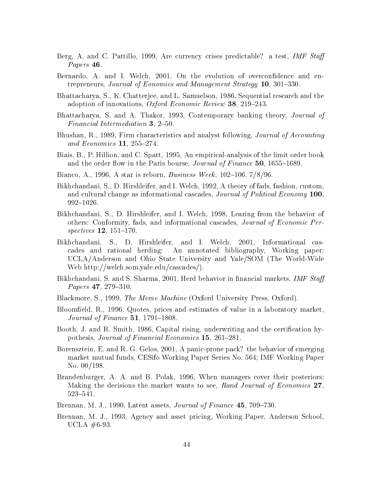- Berg, A. and C. Pattillo, 1999, Are currency crises predictable? a test, *IMF Staff* Papers 46.
- Bernardo, A. and I. Welch, 2001, On the evolution of overconfidence and entrepreneurs, Journal of Eonomics and Management Strategy  $10$ , 301–330.
- Bhatta
harya, S., K. Chatterjee, and L. Samuelson, 1986, Sequential resear
h and the adoption of innovations, *Oxford Economic Review* 38, 219–243.
- Bhattacharya, S. and A. Thakor, 1993, Contemporary banking theory, *Journal of* Financial Intermediation  $3, 2-50$ .
- Bhushan, R., 1989, Firm characteristics and analyst following, *Journal of Accounting* and Economics  $11$ ,  $255-274$ .
- Biais, B., P. Hillion, and C. Spatt, 1995, An empirical-analysis of the limit order book and the order flow in the Paris bourse, *Journal of Finance* 50, 1655–1689.
- Bianco, A., 1996, A star is reborn, *Business Week*, 102–106. 7/8/96.
- Bikhchandani, S., D. Hirshleifer, and I. Welch, 1992, A theory of fads, fashion, custom, and cultural change as informational cascades, *Journal of Political Economy* 100,  $992 - 1026$ .
- Bikh
handani, S., D. Hirshleifer, and I. Wel
h, 1998, Learing from the behavior of others: Conformity, fads, and informational cascades, *Journal of Economic Per*spectives  $12, 151-170.$
- Bikhchandani, S., D. Hirshleifer, and I. Welch, 2001, Informational casades and rational herding: An annotated bibliography, Working paper: UCLA/Anderson and Ohio State University and Yale/SOM (The World-Wide Web http://welch.som.yale.edu/cascades/).
- Bikhchandani, S. and S. Sharma, 2001, Herd behavior in financial markets, *IMF Staff Papers* 47, 279-310.
- Blackmore, S., 1999, *The Meme Machine* (Oxford University Press, Oxford).
- Bloomfield, R., 1996, Quotes, prices and estimates of value in a laboratory market, Journal of Finance  $51$ , 1791-1808.
- Booth, J. and R. Smith, 1986, Capital rising, underwriting and the certification hypothesis, Journal of Financial Economics 15, 261-281.
- Borensztein, E. and R. G. Gelos, 2001, A panic-prone pack? the behavior of emerging market mutual funds, CESifo Working Paper Series No. 564; IMF Working Paper No. 00/198.
- Brandenburger, A. A. and B. Polak, 1996, When managers over their posteriors: Making the decisions the market wants to see, Rand Journal of Economics 27, 523-541.
- Brennan, M. J., 1990, Latent assets, *Journal of Finance* 45, 709-730.
- Brennan, M. J., 1993, Agency and asset pricing, Working Paper, Anderson School, UCLA #6-93.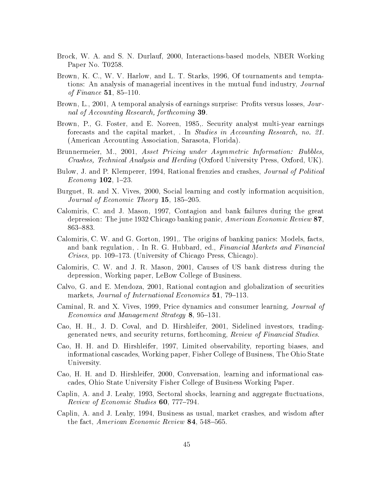- Brock, W. A. and S. N. Durlauf, 2000, Interactions-based models, NBER Working Paper No. T0258.
- Brown, K. C., W. V. Harlow, and L. T. Starks, 1996, Of tournaments and temptations: An analysis of managerial incentives in the mutual fund industry, *Journal of Finance* 51, 85–110.
- Brown, L., 2001, A temporal analysis of earnings surprise: Profits versus losses, Journal of Accounting Research, forthcoming 39.
- Brown, P., G. Foster, and E. Noreen, 1985. Security analyst multi-year earnings forecasts and the capital market, . In *Studies in Accounting Research, no. 21.* (American Accounting Association, Sarasota, Florida).
- Brunnermeier, M., 2001, Asset Pricing under Asymmetric Information: Bubbles, Crashes, Technical Analysis and Herding (Oxford University Press, Oxford, UK).
- Bulow, J. and P. Klemperer, 1994, Rational frenzies and crashes, *Journal of Political Economy* 102, 1-23.
- Burguet, R. and X. Vives, 2000, Social learning and costly information acquisition, Journal of Economic Theory  $15, 185-205$ .
- Calomiris, C. and J. Mason, 1997, Contagion and bank failures during the great depression: The june 1932 Chicago banking panic,  $American\ Economic\ Review$   ${\bf 87},$ 863-883.
- Calomiris, C. W. and G. Gorton, 1991. The origins of banking panics: Models, facts, and bank regulation, . In R. G. Hubbard, ed., *Financial Markets and Financial Crises*, pp. 109–173. (University of Chicago Press, Chicago).
- Calomiris, C. W. and J. R. Mason, 2001, Causes of US bank distress during the depression, Working paper, LeBow College of Business.
- Calvo, G. and E. Mendoza, 2001, Rational contagion and globalization of securities markets, Journal of International Economics 51, 79–113.
- Caminal, R. and X. Vives, 1999, Price dynamics and consumer learning, *Journal of Economics and Management Strategy* 8, 95-131.
- Cao, H. H., J. D. Coval, and D. Hirshleifer, 2001, Sidelined investors, tradinggenerated news, and security returns, forthcoming, Review of Financial Studies.
- Cao, H. H. and D. Hirshleifer, 1997, Limited observability, reporting biases, and informational cascades, Working paper, Fisher College of Business, The Ohio State University.
- Cao, H. H. and D. Hirshleifer, 2000, Conversation, learning and informational cascades, Ohio State University Fisher College of Business Working Paper.
- Caplin, A. and J. Leahy, 1993, Sectoral shocks, learning and aggregate fluctuations, Review of Economic Studies 60, 777-794.
- Caplin, A. and J. Leahy, 1994, Business as usual, market crashes, and wisdom after the fact, *American Economic Review* 84, 548–565.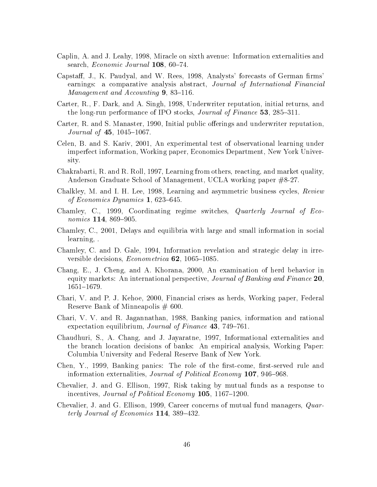- Caplin, A. and J. Leahy, 1998, Miracle on sixth avenue: Information externalities and search, *Economic Journal* 108, 60–74.
- Capstaff, J., K. Paudyal, and W. Rees, 1998, Analysts' forecasts of German firms' earnings: a comparative analysis abstract, Journal of International Financial Management and Accounting 9, 83–116.
- Carter, R., F. Dark, and A. Singh, 1998, Underwriter reputation, initial returns, and the long-run performance of IPO stocks, *Journal of Finance* 53, 285–311.
- Carter, R. and S. Manaster, 1990, Initial public offerings and underwriter reputation, *Journal of* 45, 1045-1067.
- Celen, B. and S. Kariv, 2001, An experimental test of observational learning under imperfect information, Working paper, Economics Department, New York University.
- Chakrabarti, R. and R. Roll, 1997, Learning from others, reacting, and market quality, Anderson Graduate School of Management, UCLA working paper #8-27.
- Chalkley, M. and I. H. Lee, 1998, Learning and asymmetric business cycles, Review of Economics Dynamics 1, 623-645.
- Chamley, C., 1999, Coordinating regime switches, Quarterly Journal of Economics 114, 869-905.
- Chamley, C., 2001, Delays and equilibria with large and small information in social learning,
- Chamley, C. and D. Gale, 1994, Information revelation and strategic delay in irreversible decisions, *Econometrica* 62, 1065-1085.
- Chang, E., J. Cheng, and A. Khorana, 2000, An examination of herd behavior in equity markets: An international perspective, Journal of Banking and Finance 20,  $1651 - 1679.$
- Chari, V. and P. J. Kehoe, 2000, Financial crises as herds, Working paper, Federal Reserve Bank of Minneapolis  $\#$  600.
- Chari, V. V. and R. Jagannathan, 1988, Banking panics, information and rational expectation equilibrium, *Journal of Finance* 43, 749–761.
- Chaudhuri, S., A. Chang, and J. Jayaratne, 1997, Informational externalities and the branch location decisions of banks: An empirical analysis, Working Paper: Columbia University and Federal Reserve Bank of New York.
- Chen, Y., 1999, Banking panics: The role of the first-come, first-served rule and information externalities, *Journal of Political Economy* 107, 946–968.
- Chevalier, J. and G. Ellison, 1997, Risk taking by mutual funds as a response to incentives, Journal of Political Economy 105, 1167-1200.
- Chevalier, J. and G. Ellison, 1999, Career concerns of mutual fund managers, *Quarterly Journal of Economics* 114, 389–432.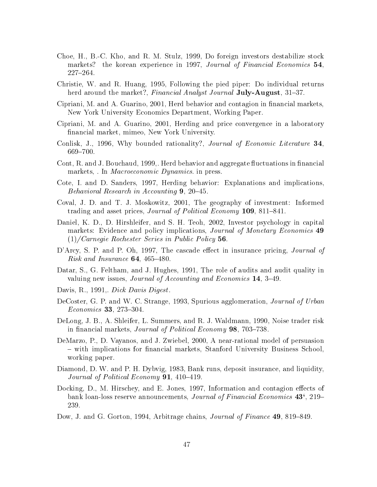- Choe, H., B.-C. Kho, and R. M. Stulz, 1999, Do foreign investors destabilize stock the korean experience in 1997, Journal of Financial Economics 54,  $\rm markets?$  $227 - 264.$
- Christie, W. and R. Huang, 1995, Following the pied piper: Do individual returns herd around the market?, Financial Analyst Journal July-August, 31–37.
- Cipriani, M. and A. Guarino, 2001, Herd behavior and contagion in financial markets, New York University Economics Department, Working Paper.
- Cipriani, M. and A. Guarino, 2001, Herding and price convergence in a laboratory financial market, mimeo, New York University.
- Conlisk, J., 1996, Why bounded rationality?, Journal of Economic Literature 34, 669-700.
- Cont, R. and J. Bouchaud, 1999.. Herd behavior and aggregate fluctuations in financial markets, . In *Macroeconomic Dynamics*. in press.
- Cote, I. and D. Sanders, 1997, Herding behavior: Explanations and implications. *Behavioral Research in Accounting* 9, 20–45.
- Coval, J. D. and T. J. Moskowitz, 2001, The geography of investment: Informed trading and asset prices, *Journal of Political Economy* 109, 811–841.
- Daniel, K. D., D. Hirshleifer, and S. H. Teoh, 2002, Investor psychology in capital markets: Evidence and policy implications, *Journal of Monetary Economics* 49  $(1)/Carneqie$  Rochester Series in Public Policy 56.
- D'Arcy, S. P. and P. Oh, 1997, The cascade effect in insurance pricing, *Journal of Risk and Insurance* **64**, 465-480.
- Datar, S., G. Feltham, and J. Hughes, 1991, The role of audits and audit quality in valuing new issues, *Journal of Accounting and Economics* 14, 3-49.
- Davis, R., 1991,. Dick Davis Digest.
- DeCoster, G. P. and W. C. Strange, 1993, Spurious agglomeration, Journal of Urban *Economics* **33**, 273-304
- DeLong, J. B., A. Shleifer, L. Summers, and R. J. Waldmann, 1990, Noise trader risk in financial markets, Journal of Political Economy 98, 703–738.
- DeMarzo, P., D. Vayanos, and J. Zwiebel, 2000, A near-rational model of persuasion - with implications for financial markets, Stanford University Business School, working paper.
- Diamond, D. W. and P. H. Dybvig, 1983, Bank runs, deposit insurance, and liquidity, Journal of Political Economy 91, 410–419.
- Docking, D., M. Hirschey, and E. Jones, 1997, Information and contagion effects of bank loan-loss reserve announcements, Journal of Financial Economics 43<sup>°</sup>, 219– 239.
- Dow, J. and G. Gorton, 1994, Arbitrage chains, *Journal of Finance* 49, 819–849.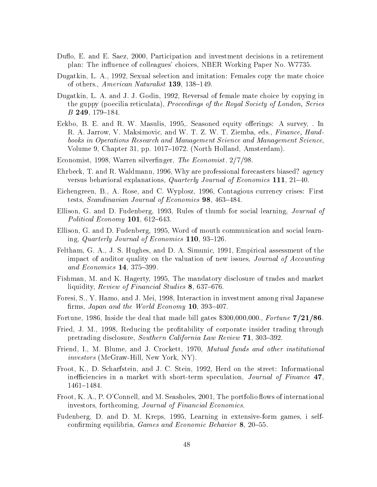- Duflo, E. and E. Saez, 2000, Participation and investment decisions in a retirement plan: The influence of colleagues' choices, NBER Working Paper No. W7735.
- Dugatkin, L. A., 1992, Sexual selection and imitation: Females copy the mate choice of others., American Naturalist 139, 138-149.
- Dugatkin, L. A. and J. J. Godin, 1992, Reversal of female mate choice by copying in the guppy (poecilia reticulata), Proceedings of the Royal Society of London, Series  $B$  249, 179-184.
- Eckbo, B. E. and R. W. Masulis, 1995, Seasoned equity offerings: A survey, . In R. A. Jarrow, V. Maksimovic, and W. T. Z. W. T. Ziemba, eds., *Finance, Hand*books in Operations Research and Management Science and Management Science, Volume 9, Chapter 31, pp. 1017–1072. (North Holland, Amsterdam).
- Economist, 1998, Warren silverfinger, The Economist, 2/7/98.
- Ehrbeck, T. and R. Waldmann, 1996, Why are professional forecasters biased? agency versus behavioral explanations, Quarterly Journal of Economics 111, 21-40.
- Eichengreen, B., A. Rose, and C. Wyplosz, 1996, Contagious currency crises: First tests, Scandinavian Journal of Economics 98, 463-484.
- Ellison, G. and D. Fudenberg, 1993, Rules of thumb for social learning, *Journal of* Political Economy  $101, 612-643$ .
- Ellison, G. and D. Fudenberg, 1995, Word of mouth communication and social learning, Quarterly Journal of Economics 110, 93-126.
- Feltham, G. A., J. S. Hughes, and D. A. Simunic, 1991, Empirical assessment of the impact of auditor quality on the valuation of new issues, *Journal of Accounting* and Economics 14, 375-399.
- Fishman, M. and K. Hagerty, 1995, The mandatory disclosure of trades and market liquidity, Review of Financial Studies 8, 637–676.
- Foresi, S., Y. Hamo, and J. Mei, 1998, Interaction in investment among rival Japanese firms, Japan and the World Economy  $10$ , 393-407.
- Fortune, 1986, Inside the deal that made bill gates  $$300,000,000$ ., Fortune  $7/21/86$ .
- Fried, J. M., 1998, Reducing the profitability of corporate insider trading through pretrading disclosure, Southern California Law Review 71, 303-392.
- Friend, I., M. Blume, and J. Crockett, 1970, Mutual funds and other institutional *investors* (McGraw-Hill, New York, NY).
- Froot, K., D. Scharfstein, and J. C. Stein, 1992, Herd on the street: Informational inefficiencies in a market with short-term speculation, *Journal of Finance* 47, 1461-1484.
- Froot, K. A., P. O'Connell, and M. Seasholes, 2001, The portfolio flows of international investors, forthcoming, Journal of Financial Economics.
- Fudenberg, D. and D. M. Kreps, 1995. Learning in extensive-form games, i selfconfirming equilibria, *Games and Economic Behavior* 8, 20–55.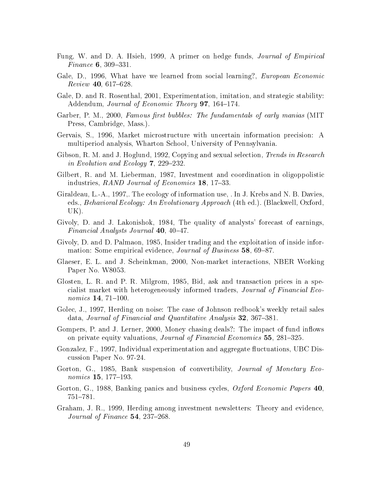- Fung, W. and D. A. Hsieh, 1999, A primer on hedge funds, *Journal of Empirical Finance* **6**, 309-331.
- Gale, D., 1996, What have we learned from social learning?, *European Economic Review* 40, 617–628.
- Gale, D. and R. Rosenthal, 2001, Experimentation, imitation, and strategic stability: Addendum, Journal of Economic Theory 97, 164–174.
- Garber, P. M., 2000, Famous first bubbles: The fundamentals of early manias (MIT) Press, Cambridge, Mass.).
- Gervais, S., 1996, Market microstructure with uncertain information precision: A multiperiod analysis, Wharton School, University of Pennsylvania.
- Gibson, R. M. and J. Hoglund, 1992, Copying and sexual selection, Trends in Research in Evolution and Ecology  $7, 229-232$ .
- Gilbert, R. and M. Lieberman, 1987, Investment and coordination in oligoppolistic industries, RAND Journal of Economics 18, 17-33.
- Giraldeau, L.-A., 1997. The ecology of information use, . In J. Krebs and N. B. Davies, eds., *Behavioral Ecology: An Evolutionary Approach* (4th ed.). (Blackwell, Oxford, UK).
- Givoly, D. and J. Lakonishok, 1984, The quality of analysts' forecast of earnings, Financial Analysts Journal 40, 40-47.
- Givoly, D. and D. Palmaon, 1985, Insider trading and the exploitation of inside information: Some empirical evidence, *Journal of Business* 58, 69–87.
- Glaeser, E. L. and J. Scheinkman, 2000, Non-market interactions, NBER Working Paper No. W8053.
- Glosten, L. R. and P. R. Milgrom, 1985, Bid, ask and transaction prices in a specialist market with heterogeneously informed traders, Journal of Financial Eco*nomics* **14**, 71–100.
- Golec, J., 1997, Herding on noise: The case of Johnson redbook's weekly retail sales data, Journal of Financial and Quantitative Analysis 32, 367-381.
- Gompers, P. and J. Lerner, 2000, Money chasing deals?: The impact of fund inflows on private equity valuations, *Journal of Financial Economics* 55, 281–325.
- Gonzalez, F., 1997, Individual experimentation and aggregate fluctuations, UBC Discussion Paper No. 97-24.
- Gorton, G., 1985, Bank suspension of convertibility, Journal of Monetary Eco*nomics* **15**, 177-193.
- Gorton, G., 1988, Banking panics and business cycles, *Oxford Economic Papers* 40,  $751 - 781.$
- Graham, J. R., 1999, Herding among investment newsletters: Theory and evidence, Journal of Finance  $54$ , 237-268.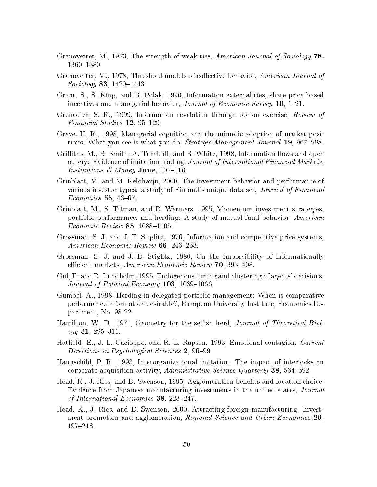- Granovetter, M., 1973, The strength of weak ties, American Journal of Sociology 78, 1360-1380.
- Granovetter, M., 1978, Threshold models of collective behavior, *American Journal of*  $Sociology$  83, 1420-1443.
- Grant, S., S. King, and B. Polak, 1996, Information externalities, share-price based incentives and managerial behavior, *Journal of Economic Survey* **10**, 1–21.
- Grenadier, S. R., 1999, Information revelation through option exercise, Review of Financial Studies  $12, 95-129$ .
- Greve, H. R., 1998, Managerial ognition and the mimeti adoption of market positions: What you see is what you do, *Strategic Management Journal* 19, 967–988.
- Griffiths, M., B. Smith, A. Turnbull, and R. White, 1998, Information flows and open outcry: Evidence of imitation trading, *Journal of International Financial Markets*, *Institutions*  $\&$  *Money June, 101-116.*
- Grinblatt, M. and M. Keloharju, 2000, The investment behavior and performan
e of various investor types: a study of Finland's unique data set, *Journal of Financial*  $Economics 55, 43–67.$
- Grinblatt, M., S. Titman, and R. Wermers, 1995, Momentum investment strategies, portfolio performance, and herding: A study of mutual fund behavior, American  $Economic\; Review\; {\bf 85},\; 1088-1105.$
- Grossman, S. J. and J. E. Stiglitz, 1976, Information and ompetitive pri
e systems, American Economic Review 66, 246-253.
- Grossman, S. J. and J. E. Stiglitz, 1980, On the impossibility of informationally efficient markets, *American Economic Review* 70, 393–408.
- Gul, F. and R. Lundholm, 1995, Endogenous timing and clustering of agents' decisions, Journal of Political Economy  $103$ , 1039-1066.
- Gumbel, A., 1998, Herding in delegated portfolio management: When is omparative performan
e information desirable?, European University Institute, E
onomi
s Department, No. 98-22.
- Hamilton, W. D., 1971, Geometry for the selfish herd, *Journal of Theoretical Biol* $ogy 31, 295 - 311.$
- Hatfield, E., J. L. Cacioppo, and R. L. Rapson, 1993, Emotional contagion, Current Directions in Psychological Sciences 2, 96–99.
- Haunschild, P. R., 1993, Interorganizational imitation: The impact of interlocks on corporate acquisition activity, Administrative Science Quarterly 38, 564-592.
- Head, K., J. Ries, and D. Swenson, 1995, Agglomeration benefits and location choice: Evidence from Japanese manufacturing investments in the united states, *Journal* of International Economics  $38, 223-247$ .
- Head, K., J. Ries, and D. Swenson, 2000, Attra
ting foreign manufa
turing: Investment promotion and agglomeration, Regional Science and Urban Economics 29, 197{218.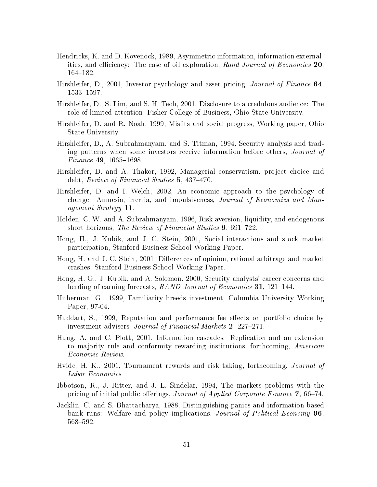- Hendricks, K. and D. Kovenock, 1989, Asymmetric information, information externalities, and efficiency: The case of oil exploration, Rand Journal of Economics 20,  $164 - 182.$
- Hirshleifer, D., 2001, Investor psychology and asset pricing, *Journal of Finance* 64,  $1533 - 1597.$
- Hirshleifer, D., S. Lim, and S. H. Teoh, 2001, Disclosure to a credulous audience: The role of limited attention, Fisher College of Business, Ohio State University.
- Hirshleifer, D. and R. Noah, 1999, Misfits and social progress, Working paper, Ohio State University.
- Hirshleifer, D., A. Subrahmanyam, and S. Titman, 1994, Security analysis and trading patterns when some investors receive information before others, *Journal of* Finance 49, 1665-1698.
- Hirshleifer, D. and A. Thakor, 1992, Managerial conservatism, project choice and debt, Review of Financial Studies 5, 437-470.
- Hirshleifer, D. and I. Welch, 2002, An economic approach to the psychology of change: Amnesia, inertia, and impulsiveness, *Journal of Economics and Management Strategy* 11.
- Holden, C. W. and A. Subrahmanyam, 1996, Risk aversion, liquidity, and endogenous short horizons, The Review of Financial Studies 9, 691-722.
- Hong, H., J. Kubik, and J. C. Stein, 2001, Social interactions and stock market participation, Stanford Business School Working Paper.
- Hong, H. and J. C. Stein, 2001, Differences of opinion, rational arbitrage and market crashes, Stanford Business School Working Paper.
- Hong, H. G., J. Kubik, and A. Solomon, 2000, Security analysts' career concerns and herding of earning forecasts, RAND Journal of Economics 31, 121-144.
- Huberman, G., 1999, Familiarity breeds investment, Columbia University Working Paper, 97-04.
- Huddart, S., 1999, Reputation and performance fee effects on portfolio choice by investment advisers, Journal of Financial Markets 2, 227–271.
- Hung, A. and C. Plott, 2001, Information cascades: Replication and an extension to majority rule and conformity rewarding institutions, forthcoming, American Economic Review.
- Hvide, H. K., 2001, Tournament rewards and risk taking, forthcoming, *Journal of* Labor Economics.
- Ibbotson, R., J. Ritter, and J. L. Sindelar, 1994, The markets problems with the pricing of initial public offerings, Journal of Applied Corporate Finance 7, 66–74.
- Jacklin, C. and S. Bhattacharya, 1988, Distinguishing panics and information-based bank runs: Welfare and policy implications, Journal of Political Economy 96,  $568 - 592.$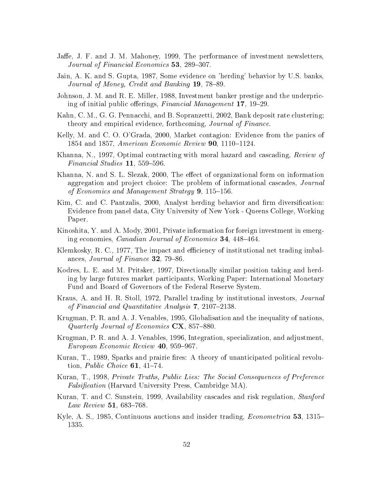- Jaffe, J. F. and J. M. Mahoney, 1999, The performance of investment newsletters, Journal of Financial Economics 53, 289-307.
- Jain, A. K. and S. Gupta, 1987, Some evidence on 'herding' behavior by U.S. banks, Journal of Money, Credit and Banking 19, 78-89.
- Johnson, J. M. and R. E. Miller, 1988, Investment banker prestige and the underpricing of initial public offerings, Financial Management 17, 19–29.
- Kahn, C. M., G. G. Pennacchi, and B. Sopranzetti, 2002. Bank deposit rate clustering: theory and empirical evidence, forthcoming, *Journal of Finance*.
- Kelly, M. and C. O. O'Grada, 2000, Market contagion: Evidence from the panics of 1854 and 1857, American Economic Review 90, 1110-1124.
- Khanna, N., 1997, Optimal contracting with moral hazard and cascading, Review of  $Financial Studies$  11, 559-596.
- Khanna, N. and S. L. Slezak, 2000, The effect of organizational form on information aggregation and project choice: The problem of informational cascades, *Journal* of Economics and Management Strategy 9, 115–156.
- Kim, C. and C. Pantzalis, 2000, Analyst herding behavior and firm diversification: Evidence from panel data, City University of New York - Queens College, Working Paper.
- Kinoshita, Y. and A. Mody, 2001, Private information for foreign investment in emerging economies, *Canadian Journal of Economics* 34, 448–464.
- Klemkosky, R. C., 1977, The impact and efficiency of institutional net trading imbalances, *Journal of Finance* 32, 79–86.
- Kodres, L. E. and M. Pritsker, 1997, Directionally similar position taking and herding by large futures market participants, Working Paper: International Monetary Fund and Board of Governors of the Federal Reserve System.
- Kraus, A. and H. R. Stoll, 1972, Parallel trading by institutional investors, *Journal* of Financial and Quantitative Analysis 7, 2107-2138.
- Krugman, P. R. and A. J. Venables, 1995, Globalisation and the inequality of nations, Quarterly Journal of Economics CX, 857-880.
- Krugman, P. R. and A. J. Venables, 1996, Integration, specialization, and adjustment, European Economic Review 40, 959-967.
- Kuran, T., 1989, Sparks and prairie fires: A theory of unanticipated political revolution, Public Choice  $61, 41-74$ .
- Kuran, T., 1998, Private Truths, Public Lies: The Social Consequences of Preference *Falsification* (Harvard University Press, Cambridge MA).
- Kuran, T. and C. Sunstein, 1999, Availability cascades and risk regulation, *Stanford* Law Review 51, 683-768.
- Kyle, A. S., 1985. Continuous auctions and insider trading, *Econometrica* 53, 1315– 1335.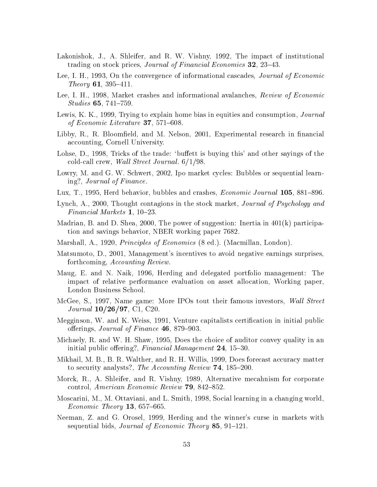- Lakonishok, J., A. Shleifer, and R. W. Vishny, 1992, The impact of institutional trading on stock prices, *Journal of Financial Economics* 32, 23–43.
- Lee, I. H., 1993, On the convergence of informational cascades, *Journal of Economic*  $Theory 61, 395-411.$
- Lee, I. H., 1998, Market crashes and informational avalanches, Review of Economic  $Studies 65, 741–759.$
- Lewis, K. K., 1999, Trying to explain home bias in equities and consumption, *Journal* of Economic Literature  $37,571-608$ .
- Libby, R., R. Bloomfield, and M. Nelson, 2001, Experimental research in financial accounting, Cornell University.
- Lohse, D., 1998, Tricks of the trade: 'buffett is buying this' and other sayings of the cold-call crew, *Wall Street Journal*.  $6/1/98$ .
- Lowry, M. and G. W. Schwert, 2002, Ipo market cycles: Bubbles or sequential learning?, Journal of Finan
e.
- Lux, T., 1995, Herd behavior, bubbles and crashes, *Economic Journal* 105, 881–896.
- Lynch, A., 2000, Thought contagions in the stock market, *Journal of Psychology and*  $Financial \ Markets \ 1, 10-23.$
- Madrian, B. and D. Shea, 2000, The power of suggestion: Inertia in  $401(k)$  participation and savings behavior, NBER working paper 7682.
- Marshall, A., 1920, *Principles of Economics* (8 ed.). (Macmillan, London).
- Matsumoto, D., 2001, Management's in
entives to avoid negative earnings surprises, forthcoming, Accounting Review.
- Maug, E. and N. Naik, 1996, Herding and delegated portfolio management: The impa
t of relative performan
e evaluation on asset allo
ation, Working paper, London Business S
hool.
- McGee, S., 1997, Name game: More IPOs tout their famous investors, Wall Street  $Journal~10/26/97,~C1,~C20.$
- Megginson, W. and K. Weiss, 1991, Venture capitalists certification in initial public offerings, *Journal of Finance*  $46, 879 - 903$ .
- Michaely, R. and W. H. Shaw, 1995, Does the choice of auditor convey quality in an initial public offering?, Financial Management 24, 15-30.
- Mikhail, M. B., B. R. Walther, and R. H. Willis, 1999, Does forecast accuracy matter to security analysts?, The Accounting Review  $74$ , 185-200.
- Morck, R., A. Shleifer, and R. Vishny, 1989, Alternative mecahnism for corporate control, *American Economic Review* **79**, 842–852.
- Moscarini, M., M. Ottaviani, and L. Smith, 1998, Social learning in a changing world,  $Economic Theory$  13, 657-665.
- Neeman, Z. and G. Orosel, 1999, Herding and the winner's curse in markets with sequential bids, *Journal of Economic Theory* 85, 91–121.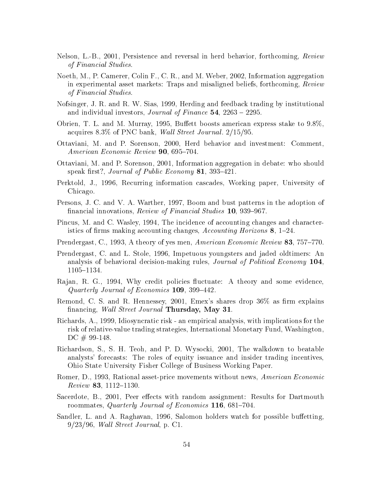- Nelson, L.-B., 2001, Persistence and reversal in herd behavior, forthcoming, Review of Finan
ial Studies.
- Noeth, M., P. Camerer, Colin F., C. R., and M. Weber, 2002, Information aggregation in experimental asset markets: Traps and misaligned beliefs, forthcoming, Review of Finan
ial Studies.
- Nofsinger, J. R. and R. W. Sias, 1999, Herding and feedba
k trading by institutional and individual investors,  $Journal$  of Finance  $54$ ,  $2263 - 2295$ .
- Obrien, T. L. and M. Murray, 1995, Buffett boosts american express stake to  $9.8\%$ . acquires 8.3% of PNC bank, Wall Street Journal. 2/15/95.
- Ottaviani, M. and P. Sorenson, 2000, Herd behavior and investment: Comment, American Economic Review 90, 695-704.
- Ottaviani, M. and P. Sorenson, 2001, Information aggregation in debate: who should speak first?, Journal of Public Economy  $81$ , 393–421.
- Perktold, J., 1996, Recurring information cascades, Working paper, University of Chi
ago.
- Persons, J. C. and V. A. Warther, 1997, Boom and bust patterns in the adoption of financial innovations, *Review of Financial Studies* 10, 939–967.
- Pincus, M. and C. Wasley, 1994, The incidence of accounting changes and characteristics of firms making accounting changes, Accounting Horizons  $\bf{8}$ , 1–24.
- Prendergast, C., 1993, A theory of yes men, American Economic Review 83, 757-770.
- Prendergast, C. and L. Stole, 1996, Impetuous youngsters and jaded oldtimers: An analysis of behavioral decision-making rules, *Journal of Political Economy* 104, 1105-1134.
- Rajan, R. G., 1994, Why credit policies fluctuate: A theory and some evidence, Quarterly Journal of Economics  $109, 399-442$ .
- Remond, C. S. and R. Hennessey, 2001, Emex's shares drop  $36\%$  as firm explains financing, *Wall Street Journal* Thursday, May 31.
- Richards, A., 1999, Idiosyncratic risk an empirical analysis, with implications for the risk of relative-value trading strategies, International Monetary Fund, Washington,  $DC # 99-148.$
- Ri
hardson, S., S. H. Teoh, and P. D. Wyso
ki, 2001, The walkdown to beatable analysts' forecasts: The roles of equity issuance and insider trading incentives, Ohio State University Fisher College of Business Working Paper.
- Romer, D., 1993, Rational asset-price movements without news, *American Economic*  $Review 83, 1112–1130.$
- Sacerdote, B., 2001, Peer effects with random assignment: Results for Dartmouth roommates, Quarterly Journal of Economics 116, 681-704.
- Sandler, L. and A. Raghavan, 1996, Salomon holders watch for possible buffetting,  $9/23/96$ , *Wall Street Journal*, p. C1.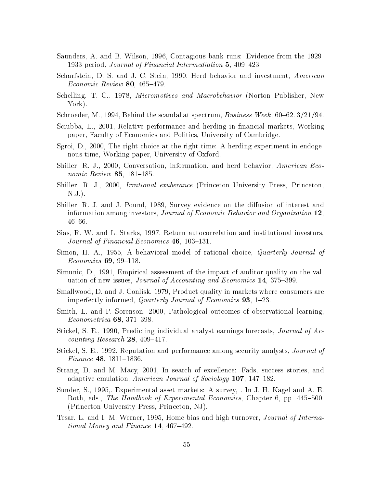- Saunders, A. and B. Wilson, 1996, Contagious bank runs: Evidence from the 1929-1933 period, *Journal of Financial Intermediation* 5, 409–423.
- Scharfstein, D. S. and J. C. Stein, 1990, Herd behavior and investment, American *Economic Review* 80, 465-479.
- Schelling, T. C., 1978, Micromotives and Macrobehavior (Norton Publisher, New York).
- Schroeder, M., 1994, Behind the scandal at spectrum, Business Week,  $60-62.3/21/94$ .
- Sciubba, E., 2001, Relative performance and herding in financial markets, Working paper, Faculty of Economics and Politics, University of Cambridge.
- Sgroi, D., 2000, The right choice at the right time: A herding experiment in endogenous time, Working paper, University of Oxford.
- Shiller, R. J., 2000, Conversation, information, and herd behavior, American Economic Review 85, 181-185.
- Shiller, R. J., 2000, Irrational exuberance (Princeton University Press, Princeton, N.J.).
- Shiller, R. J. and J. Pound, 1989, Survey evidence on the diffusion of interest and information among investors, Journal of Economic Behavior and Organization  $12$ ,  $46 - 66.$
- Sias, R. W. and L. Starks, 1997, Return autocorrelation and institutional investors, Journal of Financial Economics 46, 103-131.
- Simon, H. A., 1955, A behavioral model of rational choice, *Quarterly Journal of Economics* **69**, 99–118.
- Simunic, D., 1991, Empirical assessment of the impact of auditor quality on the valuation of new issues, Journal of Accounting and Economics 14, 375–399.
- Smallwood, D. and J. Conlisk, 1979, Product quality in markets where consumers are imperfectly informed, *Quarterly Journal of Economics* 93, 1–23.
- Smith, L. and P. Sorenson, 2000, Pathological outcomes of observational learning,  $Econometrica$  68, 371-398.
- Stickel, S. E., 1990, Predicting individual analyst earnings forecasts, *Journal of Accounting Research* 28, 409-417.
- Stickel, S. E., 1992, Reputation and performance among security analysts, Journal of Finance 48,  $1811-1836$ .
- Strang, D. and M. Macy, 2001, In search of excellence: Fads, success stories, and adaptive emulation, American Journal of Sociology 107, 147-182.
- Sunder, S., 1995. Experimental asset markets: A survey, . In J. H. Kagel and A. E. Roth, eds., *The Handbook of Experimental Economics*, Chapter 6, pp. 445–500. (Princeton University Press, Princeton, NJ).
- Tesar, L. and I. M. Werner, 1995, Home bias and high turnover, *Journal of International Money and Finance* 14, 467-492.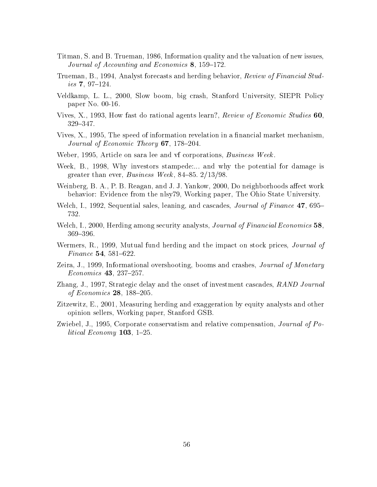- Titman, S. and B. Trueman, 1986, Information quality and the valuation of new issues, Journal of Accounting and Economics  $8, 159-172$ .
- Trueman, B., 1994, Analyst forecasts and herding behavior, *Review of Financial Stud*ies  $7, 97-124.$
- Veldkamp, L. L., 2000, Slow boom, big crash, Stanford University, SIEPR Policy paper No. 00-16.
- Vives, X., 1993, How fast do rational agents learn?, Review of Economic Studies 60, 329-347.
- Vives, X., 1995, The speed of information revelation in a financial market mechanism, Journal of Economic Theory  $67$ , 178-204.
- Weber, 1995, Article on sara lee and vf corporations, Business Week.
- Week, B., 1998, Why investors stampede:... and why the potential for damage is greater than ever, *Business Week*,  $84-85$ .  $2/13/98$ .
- Weinberg, B. A., P. B. Reagan, and J. J. Yankow, 2000, Do neighborhoods affect work behavior: Eviden
e from the nlsy79, Working paper, The Ohio State University.
- Welch, I., 1992, Sequential sales, leaning, and cascades, *Journal of Finance* 47, 695– 732.
- Welch, I., 2000, Herding among security analysts, *Journal of Financial Economics* 58, 369-396.
- Wermers, R., 1999, Mutual fund herding and the impact on stock prices, *Journal of* Finance 54, 581–622.
- Zeira, J., 1999, Informational overshooting, booms and crashes, *Journal of Monetary*  $Economics 43, 237-257.$
- Zhang, J., 1997, Strategic delay and the onset of investment cascades, RAND Journal of Economics 28, 188-205.
- Zitzewitz, E., 2001, Measuring herding and exaggeration by equity analysts and other opinion sellers, Working paper, Stanford GSB.
- Zwiebel, J., 1995, Corporate conservatism and relative compensation, *Journal of Po*litical Economy  $103, 1-25.$